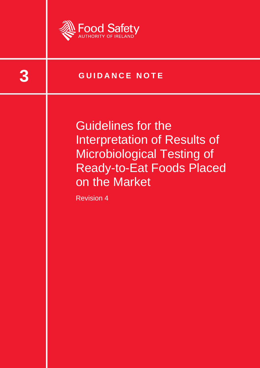

**3 GUIDANCE NOTE** 

Guidelines for the Interpretation of Results of Microbiological Testing of Ready-to-Eat Foods Placed on the Market

Revision 4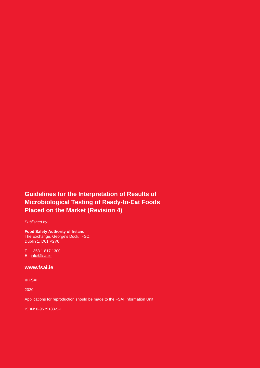#### **Guidelines for the Interpretation of Results of Microbiological Testing of Ready-to-Eat Foods Placed on the Market (Revision 4)**

*Published by:*

**Food Safety Authority of Ireland** The Exchange, George's Dock, IFSC, Dublin 1, D01 P2V6

T +353 1 817 1300 E [info@fsai.ie](mailto:info@fsai.ie)

#### **[www.fsai.ie](http://www.fsai.ie/)**

© FSAI

2020

Applications for reproduction should be made to the FSAI Information Unit

ISBN: 0-9539183-5-1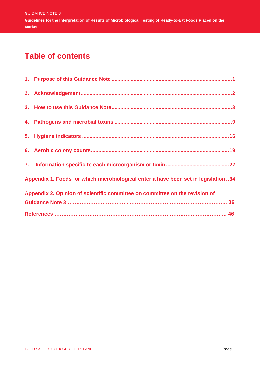# **Table of contents**

| Appendix 1. Foods for which microbiological criteria have been set in legislation34 |  |
|-------------------------------------------------------------------------------------|--|
| Appendix 2. Opinion of scientific committee on committee on the revision of         |  |
|                                                                                     |  |
|                                                                                     |  |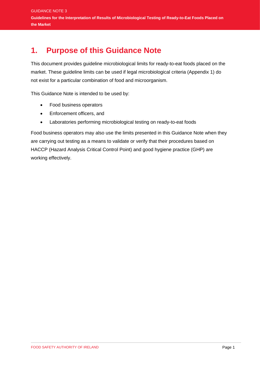# <span id="page-3-0"></span>**1. Purpose of this Guidance Note**

This document provides guideline microbiological limits for ready-to-eat foods placed on the market. These guideline limits can be used if legal microbiological criteria (Appendix 1) do not exist for a particular combination of food and microorganism.

This Guidance Note is intended to be used by:

- Food business operators
- Enforcement officers, and
- Laboratories performing microbiological testing on ready-to-eat foods

Food business operators may also use the limits presented in this Guidance Note when they are carrying out testing as a means to validate or verify that their procedures based on HACCP (Hazard Analysis Critical Control Point) and good hygiene practice (GHP) are working effectively.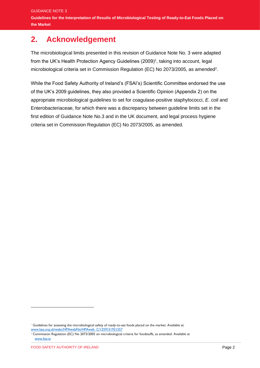# <span id="page-4-0"></span>**2. Acknowledgement**

The microbiological limits presented in this revision of Guidance Note No. 3 were adapted from the UK's Health Protection Agency Guidelines (2009)<sup>1</sup>, taking into account, legal microbiological criteria set in Commission Regulation (EC) No 2073/2005, as amended<sup>2</sup>.

While the Food Safety Authority of Ireland's (FSAI's) Scientific Committee endorsed the use of the UK's 2009 guidelines, they also provided a Scientific Opinion (Appendix 2) on the appropriate microbiological guidelines to set for coagulase-positive staphylococci, *E. coli* and Enterobacteriaceae, for which there was a discrepancy between guideline limits set in the first edition of Guidance Note No.3 and in the UK document, and legal process hygiene criteria set in Commission Regulation (EC) No 2073/2005, as amended.

<sup>1</sup> Guidelines for assessing the microbiological safety of ready-to-eat foods placed on the market. Available at: [www.hpa.org.uk/webc/HPAwebFile/HPAweb\\_C/1259151921557](http://www.hpa.org.uk/webc/HPAwebFile/HPAweb_C/1259151921557)

<sup>2</sup> Commission Regulation (EC) No 2073/2005 on microbiological criteria for foodstuffs, as amended. Available at [www.fsai.ie](http://www.fsai.ie/)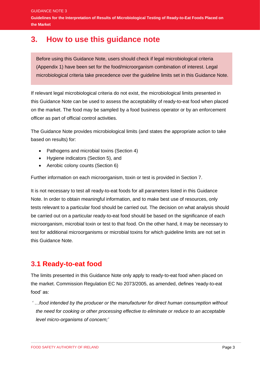GUIDANCE NOTE 3 **Guidelines for the Interpretation of Results of Microbiological Testing of Ready-to-Eat Foods Placed on the Market** 

## <span id="page-5-0"></span>**3. How to use this guidance note**

Before using this Guidance Note, users should check if legal microbiological criteria (Appendix 1) have been set for the food/microorganism combination of interest. Legal microbiological criteria take precedence over the guideline limits set in this Guidance Note.

If relevant legal microbiological criteria do not exist, the microbiological limits presented in this Guidance Note can be used to assess the acceptability of ready-to-eat food when placed on the market. The food may be sampled by a food business operator or by an enforcement officer as part of official control activities.

The Guidance Note provides microbiological limits (and states the appropriate action to take based on results) for:

- Pathogens and microbial toxins (Section 4)
- Hygiene indicators (Section 5), and
- Aerobic colony counts (Section 6)

Further information on each microorganism, toxin or test is provided in Section 7.

It is not necessary to test all ready-to-eat foods for all parameters listed in this Guidance Note. In order to obtain meaningful information, and to make best use of resources, only tests relevant to a particular food should be carried out. The decision on what analysis should be carried out on a particular ready-to-eat food should be based on the significance of each microorganism, microbial toxin or test to that food. On the other hand, it may be necessary to test for additional microorganisms or microbial toxins for which guideline limits are not set in this Guidance Note.

#### **3.1 Ready-to-eat food**

The limits presented in this Guidance Note only apply to ready-to-eat food when placed on the market. Commission Regulation EC No 2073/2005, as amended, defines 'ready-to-eat food' as:

*' …food intended by the producer or the manufacturer for direct human consumption without the need for cooking or other processing effective to eliminate or reduce to an acceptable level micro-organisms of concern;'*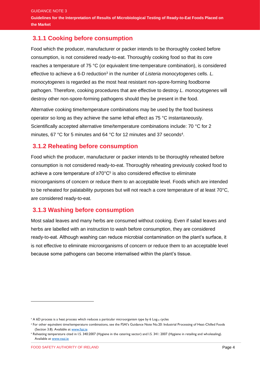#### **3.1.1 Cooking before consumption**

Food which the producer, manufacturer or packer intends to be thoroughly cooked before consumption, is not considered ready-to-eat. Thoroughly cooking food so that its core reaches a temperature of 75 °C (or equivalent time-temperature combination), is considered effective to achieve a 6-D reduction<sup>3</sup> in the number of Listeria monocytogenes cells. L. *monocytogenes* is regarded as the most heat resistant non-spore-forming foodborne pathogen. Therefore, cooking procedures that are effective to destroy *L. monocytogenes* will destroy other non-spore-forming pathogens should they be present in the food.

Alternative cooking time/temperature combinations may be used by the food business operator so long as they achieve the same lethal effect as 75 °C instantaneously. Scientifically accepted alternative time/temperature combinations include: 70 °C for 2 minutes, 67 °C for 5 minutes and 64 °C for 12 minutes and 37 seconds<sup>4</sup>.

#### **3.1.2 Reheating before consumption**

Food which the producer, manufacturer or packer intends to be thoroughly reheated before consumption is not considered ready-to-eat. Thoroughly reheating previously cooked food to achieve a core temperature of  $\geq 70^{\circ}$ C<sup>5</sup> is also considered effective to eliminate microorganisms of concern or reduce them to an acceptable level. Foods which are intended to be reheated for palatability purposes but will not reach a core temperature of at least 70°C, are considered ready-to-eat.

#### **3.1.3 Washing before consumption**

Most salad leaves and many herbs are consumed without cooking. Even if salad leaves and herbs are labelled with an instruction to wash before consumption, they are considered ready-to-eat. Although washing can reduce microbial contamination on the plant's surface, it is not effective to eliminate microorganisms of concern or reduce them to an acceptable level because some pathogens can become internalised within the plant's tissue.

<sup>&</sup>lt;sup>3</sup> A 6D process is a heat process which reduces a particular microorganism type by 6 Log<sub>10</sub> cycles

**<sup>4</sup>** For other equivalent time/temperature combinations, see the FSAI's Guidance Note No.20: Industrial Processing of Heat-Chilled Foods (Section 3.8). Available a[t www.fsai.ie](http://www.fsai.ie/)

**<sup>5</sup>** Reheating temperature cited in I.S. 340:2007 (Hygiene in the catering sector) and I.S. 341: 2007 (Hygiene in retailing and wholesaling). Available a[t www.nsai.ie](http://www.nsai.ie/)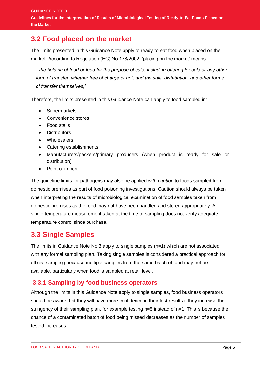### **3.2 Food placed on the market**

The limits presented in this Guidance Note apply to ready-to-eat food when placed on the market. According to Regulation (EC) No 178/2002, 'placing on the market' means:

*' …the holding of food or feed for the purpose of sale, including offering for sale or any other form of transfer, whether free of charge or not, and the sale, distribution, and other forms of transfer themselves;'*

Therefore, the limits presented in this Guidance Note can apply to food sampled in:

- Supermarkets
- Convenience stores
- Food stalls
- Distributors
- Wholesalers
- Catering establishments
- Manufacturers/packers/primary producers (when product is ready for sale or distribution)
- Point of import

The guideline limits for pathogens may also be applied *with caution* to foods sampled from domestic premises as part of food poisoning investigations. Caution should always be taken when interpreting the results of microbiological examination of food samples taken from domestic premises as the food may not have been handled and stored appropriately. A single temperature measurement taken at the time of sampling does not verify adequate temperature control since purchase.

#### **3.3 Single Samples**

The limits in Guidance Note No.3 apply to single samples (n=1) which are not associated with any formal sampling plan. Taking single samples is considered a practical approach for official sampling because multiple samples from the same batch of food may not be available, particularly when food is sampled at retail level.

#### **3.3.1 Sampling by food business operators**

Although the limits in this Guidance Note apply to single samples, food business operators should be aware that they will have more confidence in their test results if they increase the stringency of their sampling plan, for example testing n=5 instead of n=1. This is because the chance of a contaminated batch of food being missed decreases as the number of samples tested increases.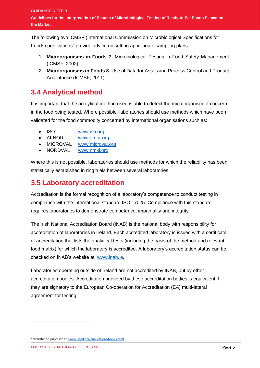The following two ICMSF (International Commission on Microbiological Specifications for Foods) publications<sup>6</sup> provide advice on setting appropriate sampling plans:

- 1. **Microorganisms in Foods 7**: Microbiological Testing in Food Safety Management (ICMSF, 2002)
- 2. **Microorganisms in Foods 8**: Use of Data for Assessing Process Control and Product Acceptance (ICMSF, 2011)

### **3.4 Analytical method**

It is important that the analytical method used is able to detect the microorganism of concern in the food being tested. Where possible, laboratories should use methods which have been validated for the food commodity concerned by international organisations such as:

- ISO [www.iso.org](http://www.iso.org/)
- AFNOR [www.afnor.org](http://www.afnor.org/)
- MICROVAL [www.microval.org](http://www.microval.org/)
- NORDVAL [www.nmkl.org](http://www.nmkl.org/)

Where this is not possible, laboratories should use methods for which the reliability has been statistically established in ring trials between several laboratories.

### **3.5 Laboratory accreditation**

Accreditation is the formal recognition of a laboratory's competence to conduct testing in compliance with the international standard ISO 17025. Compliance with this standard requires laboratories to demonstrate competence, impartiality and integrity.

The Irish National Accreditation Board (INAB) is the national body with responsibility for accreditation of laboratories in Ireland. Each accredited laboratory is issued with a certificate of accreditation that lists the analytical tests (including the basis of the method and relevant food matrix) for which the laboratory is accredited. A laboratory's accreditation status can be checked on INAB's website at: [www.inab.ie.](http://www.inab.ie/)

Laboratories operating outside of Ireland are not accredited by INAB, but by other accreditation bodies. Accreditation provided by these accreditation bodies is equivalent if they are signatory to the European Co-operation for Accreditation (EA) multi-lateral agreement for testing.

**<sup>6</sup>** Available to purchase at[: www.icmsf.org/publications/books.html](http://www.icmsf.org/publications/books.html)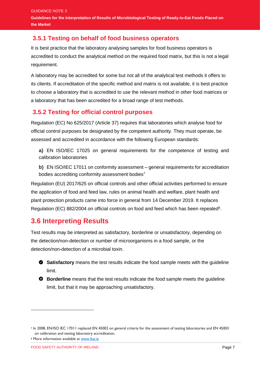#### **3.5.1 Testing on behalf of food business operators**

It is best practice that the laboratory analysing samples for food business operators is accredited to conduct the analytical method on the required food matrix, but this is not a legal requirement.

A laboratory may be accredited for some but not all of the analytical test methods it offers to its clients. If accreditation of the specific method and matrix is not available, it is best practice to choose a laboratory that is accredited to use the relevant method in other food matrices or a laboratory that has been accredited for a broad range of test methods.

#### **3.5.2 Testing for official control purposes**

Regulation (EC) No 625/2017 (Article 37) requires that laboratories which analyse food for official control purposes be designated by the competent authority. They must operate, be assessed and accredited in accordance with the following European standards:

**a)** EN ISO/IEC 17025 on general requirements for the competence of testing and calibration laboratories

**b)** EN ISO/IEC 17011 on conformity assessment – general requirements for accreditation bodies accrediting conformity assessment bodies<sup>7</sup>

Regulation (EU) 2017/625 on official controls and other official activities performed to ensure the application of food and feed law, rules on animal health and welfare, plant health and plant protection products came into force in general from 14 December 2019. It replaces Regulation (EC) 882/2004 on official controls on food and feed which has been repealed<sup>8</sup>.

### **3.6 Interpreting Results**

Test results may be interpreted as satisfactory, borderline or unsatisfactory, depending on the detection/non-detection or number of microorganisms in a food sample, or the detection/non-detection of a microbial toxin.



**Borderline** means that the test results indicate the food sample meets the guideline limit, but that it may be approaching unsatisfactory.

**<sup>7</sup>** In 2008, EN/ISO IEC 17011 replaced EN 45002 on general criteria for the assessment of testing laboratories and EN 45003 on calibration and testing laboratory accreditation.

**<sup>8</sup>** More information available at [www.fsai.ie](http://www.fsai.ie/)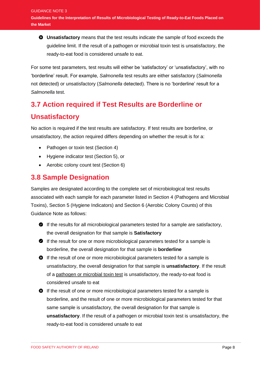**Unsatisfactory** means that the test results indicate the sample of food exceeds the guideline limit. If the result of a pathogen or microbial toxin test is unsatisfactory, the ready-to-eat food is considered unsafe to eat.

For some test parameters, test results will either be 'satisfactory' or 'unsatisfactory', with no 'borderline' result. For example, *Salmonella* test results are either satisfactory (*Salmonella* not detected) or unsatisfactory (*Salmonella* detected). There is no 'borderline' result for a *Salmonella* test.

# **3.7 Action required if Test Results are Borderline or Unsatisfactory**

No action is required if the test results are satisfactory. If test results are borderline, or unsatisfactory, the action required differs depending on whether the result is for a:

- Pathogen or toxin test (Section 4)
- Hygiene indicator test (Section 5), or
- Aerobic colony count test (Section 6)

### **3.8 Sample Designation**

Samples are designated according to the complete set of microbiological test results associated with each sample for each parameter listed in Section 4 (Pathogens and Microbial Toxins), Section 5 (Hygiene Indicators) and Section 6 (Aerobic Colony Counts) of this Guidance Note as follows:

- If the results for all microbiological parameters tested for a sample are satisfactory, the overall designation for that sample is **Satisfactory**
- If the result for one or more microbiological parameters tested for a sample is borderline, the overall designation for that sample is **borderline**
- If the result of one or more microbiological parameters tested for a sample is unsatisfactory, the overall designation for that sample is **unsatisfactory**. If the result of a pathogen or microbial toxin test is unsatisfactory, the ready-to-eat food is considered unsafe to eat
- If the result of one or more microbiological parameters tested for a sample is borderline, and the result of one or more microbiological parameters tested for that same sample is unsatisfactory, the overall designation for that sample is **unsatisfactory**. If the result of a pathogen or microbial toxin test is unsatisfactory, the ready-to-eat food is considered unsafe to eat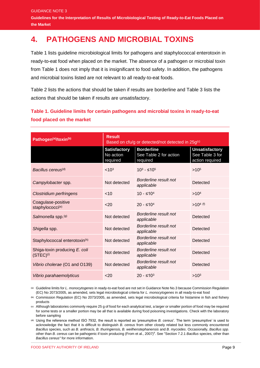GUIDANCE NOTE 3 **Guidelines for the Interpretation of Results of Microbiological Testing of Ready-to-Eat Foods Placed on the Market** 

# <span id="page-11-0"></span>**4. PATHOGENS AND MICROBIAL TOXINS**

Table 1 lists guideline microbiological limits for pathogens and staphylococcal enterotoxin in ready-to-eat food when placed on the market. The absence of a pathogen or microbial toxin from Table 1 does not imply that it is insignificant to food safety. In addition, the pathogens and microbial toxins listed are not relevant to all ready-to-eat foods.

Table 2 lists the actions that should be taken if results are borderline and Table 3 lists the actions that should be taken if results are unsatisfactory.

#### **Table 1. Guideline limits for certain pathogens and microbial toxins in ready-to-eat food placed on the market**

| Pathogen <sup>(a)</sup> /toxin <sup>(b)</sup>   | <b>Result</b><br>Based on cfu/g or detected/not detected in 25g <sup>(c)</sup> |                                                         |                                                             |  |
|-------------------------------------------------|--------------------------------------------------------------------------------|---------------------------------------------------------|-------------------------------------------------------------|--|
|                                                 | <b>Satisfactory</b><br>No action<br>required                                   | <b>Borderline</b><br>See Table 2 for action<br>required | <b>Unsatisfactory</b><br>See Table 3 for<br>action required |  |
| Bacillus cereus <sup>(d)</sup>                  | < 10 <sup>3</sup>                                                              | $10^3$ - ≤10 <sup>5</sup>                               | $>10^{5}$                                                   |  |
| Campylobacter spp.                              | Not detected                                                                   | Borderline result not<br>applicable                     | Detected                                                    |  |
| Clostridium perfringens                         | < 10                                                                           | $10 - ≤ 104$                                            | >10 <sup>4</sup>                                            |  |
| Coagulase-positive<br>staphylococci(e)          | $20$                                                                           | $20 - ≤104$                                             | $>10^{4}$ (f)                                               |  |
| Salmonella spp. <sup>(g)</sup>                  | Not detected                                                                   | Borderline result not<br>applicable                     | Detected                                                    |  |
| Shigella spp.                                   | Not detected                                                                   | Borderline result not<br>applicable                     | Detected                                                    |  |
| Staphylococcal enterotoxin <sup>(h)</sup>       | Not detected                                                                   | Borderline result not<br>applicable                     | Detected                                                    |  |
| Shiga-toxin producing E. coli<br>$(STEC)^{(i)}$ | Not detected                                                                   | Borderline result not<br>applicable                     | Detected                                                    |  |
| Vibrio cholerae (O1 and O139)                   | Not detected                                                                   | Borderline result not<br>applicable                     | Detected                                                    |  |
| Vibrio parahaemolyticus                         | $20$                                                                           | $20 - ≤ 103$                                            | $>10^{3}$                                                   |  |

**(a)** Guideline limits for *L. monocytogenes* in ready-to-eat food are not set in Guidance Note No.3 because Commission Regulation (EC) No 2073/2005, as amended, sets legal microbiological criteria for *L. monocytogenes* in all ready-to-eat food

**(b)** Commission Regulation (EC) No 2073/2005, as amended, sets legal microbiological criteria for histamine in fish and fishery products

**(c)** Although laboratories commonly require 25 g of food for each analytical test, a larger or smaller portion of food may be required for some tests or a smaller portion may be all that is available during food poisoning investigations. Check with the laboratory before sampling

**(d)** Using the reference method ISO 7932, the result is reported as 'presumptive *B. cereus*'. The term 'presumptive' is used to acknowledge the fact that it is difficult to distinguish *B. cereus* from other closely related but less commonly encountered *Bacillus* species, such *as B. anthracis, B. thuringiensis, B. weilhenstephanensis* and *B. mycoides*. Occasionally, *Bacillus spp.*  other than *B. cereus* can be pathogenic if toxin producing (From et al., 2007)<sup>9</sup> . See "Section 7.2.1 *Bacillus* species, other than *Bacillus cereus"* for more information.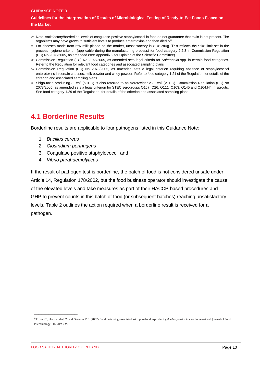#### GUIDANCE NOTE 3 **Guidelines for the Interpretation of Results of Microbiological Testing of Ready-to-Eat Foods Placed on the Market**

- **(e)** Note: satisfactory/borderline levels of coagulase-positive staphylococci in food do not guarantee that toxin is not present. The organisms may have grown to sufficient levels to produce enterotoxins and then died off
- 0 For cheeses made from raw milk placed on the market, unsatisfactory is >10<sup>5</sup> cfu/g. This reflects the ≤10<sup>5</sup> limit set in the process hygiene criterion (applicable during the manufacturing process) for food category 2.2.3 in Commission Regulation (EC) No 2073/2005, as amended (see Appendix 2 for Opinion of the Scientific Committee)
- **(g)** Commission Regulation (EC) No 2073/2005, as amended sets legal criteria for *Salmonella* spp. in certain food categories. Refer to the Regulation for relevant food categories and associated sampling plans
- **(h)** Commission Regulation (EC) No 2073/2005, as amended sets a legal criterion requiring absence of staphylococcal enterotoxins in certain cheeses, milk powder and whey powder. Refer to food category 1.21 of the Regulation for details of the criterion and associated sampling plans
- **(i)** Shiga-toxin producing *E. coli* (STEC) is also referred to as Verotoxigenic *E. coli* (VTEC). Commission Regulation (EC) No 2073/2005, as amended sets a legal criterion for STEC serogroups O157, O26, O111, O103, O145 and O104:H4 in sprouts. See food category 1.29 of the Regulation, for details of the criterion and associated sampling plans

### **4.1 Borderline Results**

Borderline results are applicable to four pathogens listed in this Guidance Note:

- 1. *Bacillus cereus*
- 2. *Clostridium perfringens*
- 3. Coagulase positive staphylococci, and
- 4. *Vibrio parahaemolyticus*

If the result of pathogen test is borderline, the batch of food is not considered unsafe under Article 14, Regulation 178/2002, but the food business operator should investigate the cause of the elevated levels and take measures as part of their HACCP-based procedures and GHP to prevent counts in this batch of food (or subsequent batches) reaching unsatisfactory levels. Table 2 outlines the action required when a borderline result is received for a pathogen.

 $\frac{1}{2}$  ,  $\frac{1}{2}$  ,  $\frac{1}{2}$  ,  $\frac{1}{2}$  ,  $\frac{1}{2}$  ,  $\frac{1}{2}$  ,  $\frac{1}{2}$  ,  $\frac{1}{2}$  ,  $\frac{1}{2}$  ,  $\frac{1}{2}$  ,  $\frac{1}{2}$  ,  $\frac{1}{2}$  ,  $\frac{1}{2}$  ,  $\frac{1}{2}$  ,  $\frac{1}{2}$  ,  $\frac{1}{2}$  ,  $\frac{1}{2}$  ,  $\frac{1}{2}$  ,  $\frac{1$ 

<sup>9</sup> From, C., Hormazabal, V. and Granum, P.E. (2007) Food poisoning associated with pumilacidin-producing *Bacillus pumilus* in rice. International Journal of Food Microbiology 115, 319-324.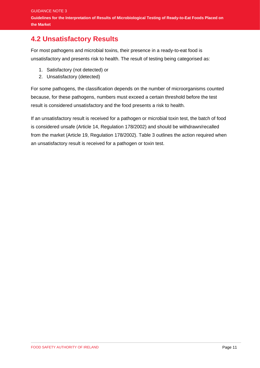### **4.2 Unsatisfactory Results**

For most pathogens and microbial toxins, their presence in a ready-to-eat food is unsatisfactory and presents risk to health. The result of testing being categorised as:

- 1. Satisfactory (not detected) or
- 2. Unsatisfactory (detected)

For some pathogens, the classification depends on the number of microorganisms counted because, for these pathogens, numbers must exceed a certain threshold before the test result is considered unsatisfactory and the food presents a risk to health.

If an unsatisfactory result is received for a pathogen or microbial toxin test, the batch of food is considered unsafe (Article 14, Regulation 178/2002) and should be withdrawn/recalled from the market (Article 19, Regulation 178/2002). Table 3 outlines the action required when an unsatisfactory result is received for a pathogen or toxin test.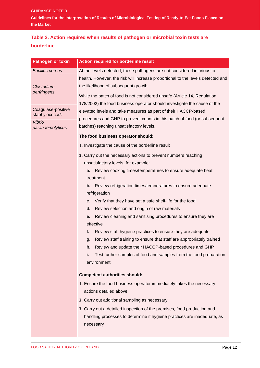#### **Table 2. Action required when results of pathogen or microbial toxin tests are borderline**

| <b>Pathogen or toxin</b>                           | <b>Action required for borderline result</b>                                         |
|----------------------------------------------------|--------------------------------------------------------------------------------------|
| <b>Bacillus cereus</b>                             | At the levels detected, these pathogens are not considered injurious to              |
|                                                    | health. However, the risk will increase proportional to the levels detected and      |
| Clostridium                                        | the likelihood of subsequent growth.                                                 |
| perfringens                                        | While the batch of food is not considered unsafe (Article 14, Regulation             |
|                                                    | 178/2002) the food business operator should investigate the cause of the             |
| Coagulase-positive<br>staphylococci <sup>(a)</sup> | elevated levels and take measures as part of their HACCP-based                       |
| <b>Vibrio</b>                                      | procedures and GHP to prevent counts in this batch of food (or subsequent            |
| parahaemolyticus                                   | batches) reaching unsatisfactory levels.                                             |
|                                                    | The food business operator should:                                                   |
|                                                    | I. Investigate the cause of the borderline result                                    |
|                                                    | 2. Carry out the necessary actions to prevent numbers reaching                       |
|                                                    | unsatisfactory levels, for example:                                                  |
|                                                    | a. Review cooking times/temperatures to ensure adequate heat                         |
|                                                    | treatment                                                                            |
|                                                    | b. Review refrigeration times/temperatures to ensure adequate<br>refrigeration       |
|                                                    | Verify that they have set a safe shelf-life for the food<br>С.                       |
|                                                    | Review selection and origin of raw materials<br>d.                                   |
|                                                    | Review cleaning and sanitising procedures to ensure they are<br>е.                   |
|                                                    | effective                                                                            |
|                                                    | f.<br>Review staff hygiene practices to ensure they are adequate                     |
|                                                    | Review staff training to ensure that staff are appropriately trained<br>q.           |
|                                                    | Review and update their HACCP-based procedures and GHP<br>h.                         |
|                                                    | Test further samples of food and samples from the food preparation<br>i.             |
|                                                    | environment                                                                          |
|                                                    | <b>Competent authorities should:</b>                                                 |
|                                                    | I. Ensure the food business operator immediately takes the necessary                 |
|                                                    | actions detailed above                                                               |
|                                                    | 2. Carry out additional sampling as necessary                                        |
|                                                    | 3. Carry out a detailed inspection of the premises, food production and              |
|                                                    | handling processes to determine if hygiene practices are inadequate, as<br>necessary |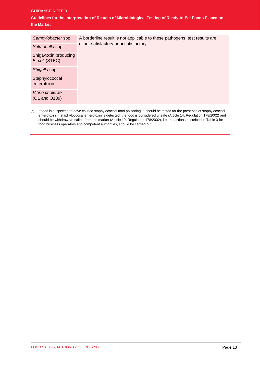#### GUIDANCE NOTE 3

**Guidelines for the Interpretation of Results of Microbiological Testing of Ready-to-Eat Foods Placed on the Market** 

| Campylobacter spp.                      | A borderline result is not applicable to these pathogens; test results are |
|-----------------------------------------|----------------------------------------------------------------------------|
| Salmonella spp.                         | either satisfactory or unsatisfactory                                      |
| Shiga-toxin producing<br>E. coli (STEC) |                                                                            |
| Shigella spp.                           |                                                                            |
| Staphylococcal<br>enterotoxin           |                                                                            |
| Vibrio cholerae<br>(O1 and O139)        |                                                                            |

(a) If food is suspected to have caused staphylococcal food poisoning, it should be tested for the presence of staphylococcal enterotoxin. If staphylococcal enterotoxin is detected, the food is considered unsafe (Article 14, Regulation 178/2002) and should be withdrawn/recalled from the market (Article 19, Regulation 178/2002), i.e. the actions described in Table 3 for food business operators and competent authorities, should be carried out.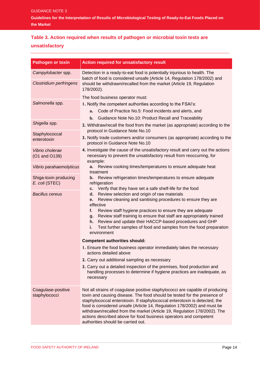#### **Table 3. Action required when results of pathogen or microbial toxin tests are unsatisfactory**

| <b>Pathogen or toxin</b>                | <b>Action required for unsatisfactory result</b>                                                                                                                                                                          |  |  |
|-----------------------------------------|---------------------------------------------------------------------------------------------------------------------------------------------------------------------------------------------------------------------------|--|--|
| Campylobacter spp.                      | Detection in a ready-to-eat food is potentially injurious to health. The<br>batch of food is considered unsafe (Article 14, Regulation 178/2002) and                                                                      |  |  |
| <b>Clostridium perfringens</b>          | should be withdrawn/recalled from the market (Article 19, Regulation<br>178/2002).                                                                                                                                        |  |  |
|                                         | The food business operator must:                                                                                                                                                                                          |  |  |
| Salmonella spp.                         | I. Notify the competent authorities according to the FSAI's:                                                                                                                                                              |  |  |
|                                         | Code of Practice No.5: Food incidents and alerts, and<br>a.                                                                                                                                                               |  |  |
|                                         | Guidance Note No.10: Product Recall and Traceability<br>b.                                                                                                                                                                |  |  |
| Shigella spp.                           | 2. Withdraw/recall the food from the market (as appropriate) according to the<br>protocol in Guidance Note No.10                                                                                                          |  |  |
| Staphylococcal<br>enterotoxin           | 3. Notify trade customers and/or consumers (as appropriate) according to the<br>protocol in Guidance Note No.10                                                                                                           |  |  |
| Vibrio cholerae<br>(O1 and O139)        | 4. Investigate the cause of the unsatisfactory result and carry out the actions<br>necessary to prevent the unsatisfactory result from reoccurring, for<br>example:                                                       |  |  |
| Vibrio parahaemolyticus                 | Review cooking times/temperatures to ensure adequate heat<br>a.<br>treatment                                                                                                                                              |  |  |
| Shiga-toxin producing<br>E. coli (STEC) | Review refrigeration times/temperatures to ensure adequate<br>b.<br>refrigeration                                                                                                                                         |  |  |
| <b>Bacillus cereus</b>                  | Verify that they have set a safe shelf-life for the food<br>c.<br>Review selection and origin of raw materials<br>d.                                                                                                      |  |  |
|                                         | Review cleaning and sanitising procedures to ensure they are<br>e.<br>effective                                                                                                                                           |  |  |
|                                         | Review staff hygiene practices to ensure they are adequate<br>f.                                                                                                                                                          |  |  |
|                                         | Review staff training to ensure that staff are appropriately trained<br>g.                                                                                                                                                |  |  |
|                                         | Review and update their HACCP-based procedures and GHP<br>h.                                                                                                                                                              |  |  |
|                                         | Test further samples of food and samples from the food preparation<br>j.<br>environment                                                                                                                                   |  |  |
|                                         | <b>Competent authorities should:</b>                                                                                                                                                                                      |  |  |
|                                         | I. Ensure the food business operator immediately takes the necessary<br>actions detailed above                                                                                                                            |  |  |
|                                         | 2. Carry out additional sampling as necessary                                                                                                                                                                             |  |  |
|                                         | 3. Carry out a detailed inspection of the premises, food production and<br>handling processes to determine if hygiene practices are inadequate, as<br>necessary                                                           |  |  |
| Coagulase-positive                      | Not all strains of coagulase positive staphylococci are capable of producing                                                                                                                                              |  |  |
| staphylococci                           | toxin and causing disease. The food should be tested for the presence of<br>staphylococcal enterotoxin. If staphylococcal enterotoxin is detected, the                                                                    |  |  |
|                                         | food is considered unsafe (Article 14, Regulation 178/2002) and must be<br>withdrawn/recalled from the market (Article 19, Regulation 178/2002). The<br>actions described above for food business operators and competent |  |  |
|                                         | authorities should be carried out.                                                                                                                                                                                        |  |  |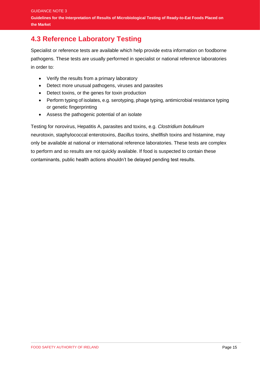### **4.3 Reference Laboratory Testing**

Specialist or reference tests are available which help provide extra information on foodborne pathogens. These tests are usually performed in specialist or national reference laboratories in order to:

- Verify the results from a primary laboratory
- Detect more unusual pathogens, viruses and parasites
- Detect toxins, or the genes for toxin production
- Perform typing of isolates, e.g. serotyping, phage typing, antimicrobial resistance typing or genetic fingerprinting
- Assess the pathogenic potential of an isolate

Testing for norovirus, Hepatitis A, parasites and toxins, e.g. *Clostridium botulinum* neurotoxin, staphylococcal enterotoxins, *Bacillus* toxins, shellfish toxins and histamine, may only be available at national or international reference laboratories. These tests are complex to perform and so results are not quickly available. If food is suspected to contain these contaminants, public health actions shouldn't be delayed pending test results.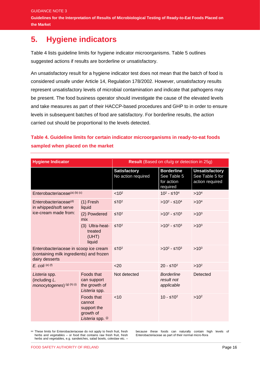# <span id="page-18-0"></span>**5. Hygiene indicators**

Table 4 lists guideline limits for hygiene indicator microorganisms. Table 5 outlines suggested actions if results are borderline or unsatisfactory.

An unsatisfactory result for a hygiene indicator test does not mean that the batch of food is considered unsafe under Article 14, Regulation 178/2002. However, unsatisfactory results represent unsatisfactory levels of microbial contamination and indicate that pathogens may be present. The food business operator should investigate the cause of the elevated levels and take measures as part of their HACCP-based procedures and GHP to in order to ensure levels in subsequent batches of food are satisfactory. For borderline results, the action carried out should be proportional to the levels detected.

#### **Table 4. Guideline limits for certain indicator microorganisms in ready-to-eat foods sampled when placed on the market**

| <b>Hygiene Indicator</b>                                                                            |                                                                       |                                           | Result (Based on cfu/g or detection in 25g)                |                                                             |
|-----------------------------------------------------------------------------------------------------|-----------------------------------------------------------------------|-------------------------------------------|------------------------------------------------------------|-------------------------------------------------------------|
|                                                                                                     |                                                                       | <b>Satisfactory</b><br>No action required | <b>Borderline</b><br>See Table 5<br>for action<br>required | <b>Unsatisfactory</b><br>See Table 5 for<br>action required |
| Enterobacteriaceae(a) (b) (c)                                                                       |                                                                       | < 10 <sup>2</sup>                         | $10^2 - 510^4$                                             | >10 <sup>4</sup>                                            |
| Enterobacteriaceae <sup>(d)</sup><br>in whipped/soft serve                                          | $(1)$ Fresh<br>liquid                                                 | $≤102$                                    | >10 <sup>2</sup> - ≤10 <sup>4</sup>                        | >10 <sup>4</sup>                                            |
| ice-cream made from:                                                                                | (2) Powdered<br>mix                                                   | ≤10 <sup>2</sup>                          | > $10^2$ - ≤10 <sup>3</sup>                                | $>10^{3}$                                                   |
|                                                                                                     | (3) Ultra-heat-<br>treated<br>(UHT)<br>liquid                         | $≤102$                                    | >10 <sup>2</sup> - ≤10 <sup>3</sup>                        | $>10^{3}$                                                   |
| Enterobacteriaceae in scoop ice cream<br>(containing milk ingredients) and frozen<br>dairy desserts |                                                                       | $≤102$                                    | >10 <sup>2</sup> - ≤10 <sup>3</sup>                        | $>10^{3}$                                                   |
| $E.$ coli $(e)$ (f)                                                                                 |                                                                       | <20                                       | $20 - 510^2$                                               | $>10^2$                                                     |
| Listeria spp.<br>(including L.<br>monocytogenes) (g) (h) (i)                                        | Foods that<br>can support<br>the growth of<br>Listeria spp.           | Not detected                              | <b>Borderline</b><br>result not<br>applicable              | Detected                                                    |
|                                                                                                     | Foods that<br>cannot<br>support the<br>growth of<br>Listeria spp. (i) | < 10                                      | $10 - 510^2$                                               | $>10^2$                                                     |

**(a)** These limits for Enterobacteriaceae do not apply to fresh fruit, fresh herbs and vegetables – or food that contains raw fresh fruit, fresh herbs and vegetables, e.g. sandwiches, salad bowls, coleslaw etc. –

because these foods can naturally contain high levels of Enterobacteriaceae as part of their normal micro-flora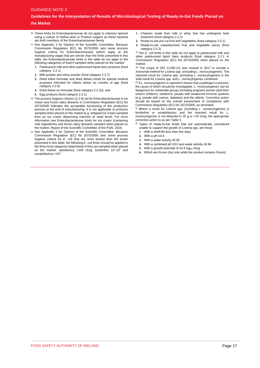#### **Guidelines for the Interpretation of Results of Microbiological Testing of Ready-to-Eat Foods Placed on the Market**

- **(b)** These limits for Enterobacteriaceae do not apply to cheeses ripened using a culture of *Hafnia alvei* or *Proteus vulgaris* as these bacteria are both members of the Enterobacteriaceae family
- **(c)** See Appendix 2 for Opinion of the Scientific Committee. Because Commission Regulation (EC) No 2073/2005 sets some process hygiene criteria for Enterobacteriaceae (which apply at the manufacturing stage) that are stricter than the limits presented in this table, the Enterobacteriaceae limits in this table do not apply to the following categories of food if sampled when placed on the market:
	- **1.** Pasteurised milk and other pasteurised liquid dairy products (food category: 2.2.1)
	- **2.** Milk powder and whey powder (food category 2.2.7)
	- **3.** Dried infant formulae and dried dietary foods for special medical purposes intended for infants below six months of age (food category 2.2.9)
	- **4.** Dried follow-on formulae (food category 2.2.10), and
	- **5.** Egg products (food category 2.3.1)
- **(d)** The process hygiene criterion (2.2.8) set for Enterobacteriaceae in ice cream and frozen dairy desserts in Commission Regulation (EC) No 2073/2005 indicates the acceptable functioning of the production process at the end of manufacturing. It is not applicable to products sampled when placed on the market (e.g. whipped ice cream sampled from an ice cream dispensing machine at retail level). For more information see Enterobacteriaceae limits for ice cream (containing milk ingredients) and frozen dairy desserts sampled when placed on the market, Report of the Scientific Committee of the FSAI, 2018.
- **(e)** See Appendix 2 for Opinion of the Scientific Committee. Because Commission Regulation (EC) No 2073/2005 sets some process hygiene criteria for *E. coli* that are more lenient than the levels presented in this table, the following *E. coli* limits should be applied to the three food categories listed below if they are sampled when placed on the market: satisfactory <100 cfu/g; borderline  $10^2$ -10<sup>3</sup> and unsatisfactory >10<sup>3</sup>:
- **1.** Cheeses made from milk or whey that has undergone heat treatment (food category 2.2.2)
- **2.** Ready-to-eat pre-cut fruit and vegetables (food category 2.5.1)
- **3.** Ready-to-eat unpasteurised fruit and vegetable juices (food category 2.5.2)

(f) The *E. coli* limits in this table do not apply to pasteurised milk and other pasteurised liquid dairy products (food category 2.2.1 in Commission Regulation (EC) No 2073/2005) when placed on the market.

(g) The scope of ISO 11290-1/2 was revised in 2017 to include a horizontal method for *Listeria spp*. (including *L. monocytogenes*). The reported result for *Listeria spp*. (including *L. monocytogenes*) is the total result for *Listeria spp*. and *L. monocytogenes* combined.

(h) If *L. monocytogenes* is reported it means that a pathogen is present, the cause of which should be investigated. *L. monocytogenes* can be dangerous for vulnerable groups including pregnant women (and their unborn children), newborns, people with weakened immune systems (e.g. people with cancer, diabetes) and the elderly. Corrective action should be based on the overall assessment of compliance with Commission Regulation (EC) No 2073/2005, as amended.

(i) Where a result for *Listeria spp.* (including *L. monocytogenes*) is borderline or unsatisfactory and the reported result for *L. monocytogenes* is not detected in 25 g or <10 cfu/g, the appropriate corrective action is as per Table 5.

- $($  $)$  Types of ready-to-eat foods that are automatically considered unable to support the growth of *Listeria* spp. are those:
	- **1.** With a shelf-life less than five days
	- **2.** With a pH ≤4.4
	- **3.** With a water activity ≤0.92
	- **4.** With a combined pH ≤5.0 and water activity ≤0.94
- **5.** With a growth potential of  $\leq 0.5$  log<sub>10</sub> cfu/g
	- **6.** Which are frozen (but only while the product remains frozen)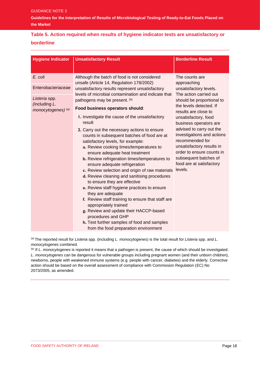**Guidelines for the Interpretation of Results of Microbiological Testing of Ready-to-Eat Foods Placed on the Market** 

#### **Table 5. Action required when results of hygiene indicator tests are unsatisfactory or borderline**

| <b>Hygiene Indicator</b>                                                              | <b>Unsatisfactory Result</b>                                                                                                                                                                                                                                                                                                                                                                                                                                                                                                                                                                                                                                                                                                                                                                                                                                                                                                                                                                                                                                                              | <b>Borderline Result</b>                                                                                                                                                                                                                                                                                                                                                                                                   |
|---------------------------------------------------------------------------------------|-------------------------------------------------------------------------------------------------------------------------------------------------------------------------------------------------------------------------------------------------------------------------------------------------------------------------------------------------------------------------------------------------------------------------------------------------------------------------------------------------------------------------------------------------------------------------------------------------------------------------------------------------------------------------------------------------------------------------------------------------------------------------------------------------------------------------------------------------------------------------------------------------------------------------------------------------------------------------------------------------------------------------------------------------------------------------------------------|----------------------------------------------------------------------------------------------------------------------------------------------------------------------------------------------------------------------------------------------------------------------------------------------------------------------------------------------------------------------------------------------------------------------------|
| E. coli<br>Enterobacteriaceae<br>Listeria spp.<br>(including L.<br>monocytogenes) (a) | Although the batch of food is not considered<br>unsafe (Article 14, Regulation 178/2002)<br>unsatisfactory results represent unsatisfactory<br>levels of microbial contamination and indicate that<br>pathogens may be present. (b)<br>Food business operators should:<br>I. Investigate the cause of the unsatisfactory<br>result<br>2. Carry out the necessary actions to ensure<br>counts in subsequent batches of food are at<br>satisfactory levels, for example:<br>a. Review cooking times/temperatures to<br>ensure adequate heat treatment<br><b>b.</b> Review refrigeration times/temperatures to<br>ensure adequate refrigeration<br>c. Review selection and origin of raw materials<br>d. Review cleaning and sanitising procedures<br>to ensure they are effective<br>e. Review staff hygiene practices to ensure<br>they are adequate<br>f. Review staff training to ensure that staff are<br>appropriately trained<br>g. Review and update their HACCP-based<br>procedures and GHP<br>h. Test further samples of food and samples<br>from the food preparation environment | The counts are<br>approaching<br>unsatisfactory levels.<br>The action carried out<br>should be proportional to<br>the levels detected. If<br>results are close to<br>unsatisfactory, food<br>business operators are<br>advised to carry out the<br>investigations and actions<br>recommended for<br>unsatisfactory results in<br>order to ensure counts in<br>subsequent batches of<br>food are at satisfactory<br>levels. |

(a) The reported result for *Listeria* spp. (including *L. monocytogenes*) is the total result for *Listeria* spp. and *L. monocytogenes* combined.

(b) If *L. monocytogenes* is reported it means that a pathogen is present, the cause of which should be investigated. *L. monocytogenes* can be dangerous for vulnerable groups including pregnant women (and their unborn children), newborns, people with weakened immune systems (e.g. people with cancer, diabetes) and the elderly. Corrective action should be based on the overall assessment of compliance with Commission Regulation (EC) No 2073/2005, as amended.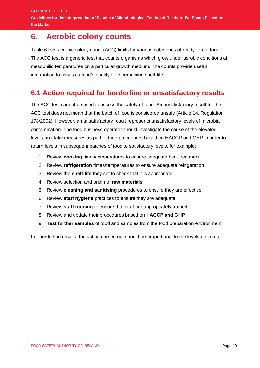## <span id="page-21-0"></span>**6. Aerobic colony counts**

**the Market** 

Table 6 lists aerobic colony count (ACC) limits for various categories of ready-to-eat food. The ACC test is a generic test that counts organisms which grow under aerobic conditions at mesophilic temperatures on a particular growth medium. The counts provide useful information to assess a food's quality or its remaining shelf-life.

### **6.1 Action required for borderline or unsatisfactory results**

The ACC test cannot be used to assess the safety of food. An unsatisfactory result for the ACC test does not mean that the batch of food is considered unsafe (Article 14, Regulation 178/2002). However, an unsatisfactory result represents unsatisfactory levels of microbial contamination. The food business operator should investigate the cause of the elevated levels and take measures as part of their procedures based on HACCP and GHP in order to return levels in subsequent batches of food to satisfactory levels, for example:

- 1. Review **cooking** times/temperatures to ensure adequate heat treatment
- 2. Review **refrigeration** times/temperatures to ensure adequate refrigeration
- 3. Review the **shelf-life** they set to check that it is appropriate
- 4. Review selection and origin of **raw materials**
- 5. Review **cleaning and sanitising** procedures to ensure they are effective
- 6. Review **staff hygiene** practices to ensure they are adequate
- 7. Review **staff training** to ensure that staff are appropriately trained
- 8. Review and update their procedures based on **HACCP and GHP**
- 9. **Test further samples** of food and samples from the food preparation environment

For borderline results, the action carried out should be proportional to the levels detected.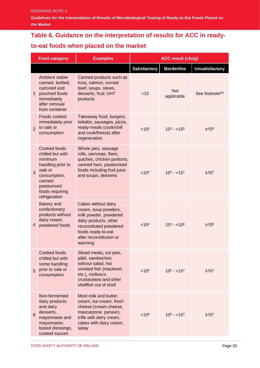**Guidelines for the Interpretation of Results of Microbiological Testing of Ready-to-Eat Foods Placed on the Market** 

# **Table 6. Guidance on the interpretation of results for ACC in ready-**

#### **to-eat foods when placed on the market**

|                | <b>Food category</b>                                                                                                                                     | <b>Examples</b>                                                                                                                                                                     | <b>ACC result (cfu/g)</b> |                          |                             |
|----------------|----------------------------------------------------------------------------------------------------------------------------------------------------------|-------------------------------------------------------------------------------------------------------------------------------------------------------------------------------------|---------------------------|--------------------------|-----------------------------|
|                |                                                                                                                                                          |                                                                                                                                                                                     | <b>Satisfactory</b>       | <b>Borderline</b>        | <b>Unsatisfactory</b>       |
| $\mathbf{1}$   | Ambient stable<br>canned, bottled,<br>cartoned and<br>pouched foods<br>immediately<br>after removal<br>from container                                    | Canned products such as<br>tuna, salmon, corned<br>beef, soups, stews,<br>desserts, fruit; UHT<br>products                                                                          | $<$ 10                    | <b>Not</b><br>applicable | See footnote <sup>(a)</sup> |
| $\overline{2}$ | Foods cooked<br>immediately prior<br>to sale or<br>consumption                                                                                           | Takeaway food, burgers,<br>kebabs, sausages, pizza,<br>ready-meals (cook/chill<br>and cook/freeze) after<br>regeneration                                                            | < 10 <sup>3</sup>         | $10^3 - 10^5$            | $\geq 10^{5}$               |
| 3              | Cooked foods<br>chilled but with<br>minimum<br>handling prior to<br>sale or<br>consumption;<br>canned<br>pasteurised<br>foods requiring<br>refrigeration | Whole pies, sausage<br>rolls, samosas, flans,<br>quiches, chicken portions;<br>canned ham, pasteurised<br>foods including fruit juice<br>and soups; desserts                        | < 10 <sup>4</sup>         | $10^4 - 10^7$            | $\geq 10^{7}$               |
| 4              | Bakery and<br>confectionery<br>products without<br>dairy cream,<br>powdered foods                                                                        | Cakes without dairy<br>cream, soup powders,<br>milk powder, powdered<br>dairy products, other<br>reconstituted powdered<br>foods ready-to-eat<br>after reconstitution or<br>warming | < 10 <sup>4</sup>         | $10^4 - 10^6$            | $\geq 10^6$                 |
| 5              | Cooked foods<br>chilled but with<br>some handling<br>prior to sale or<br>consumption                                                                     | Sliced meats, cut pies,<br>pâté, sandwiches<br>without salad, hot<br>smoked fish (mackerel,<br>etc.), molluscs,<br>crustaceans and other<br>shellfish out of shell                  | < 10 <sup>5</sup>         | $10^5 - 10^7$            | $\geq 10^{7}$               |
| $6\phantom{1}$ | Non-fermented<br>dairy products<br>and dairy<br>desserts,<br>mayonnaise and<br>mayonnaise-<br>based dressings,<br>cooked sauces                          | Most milk and butter,<br>cream, ice-cream, fresh<br>cheese (cream cheese,<br>mascarpone, paneer),<br>trifle with dairy cream,<br>cakes with dairy cream,<br>satay                   | < 10 <sup>5</sup>         | $10^5 - 10^7$            | $≥107$                      |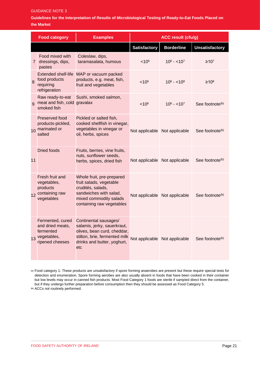#### GUIDANCE NOTE 3

**Guidelines for the Interpretation of Results of Microbiological Testing of Ready-to-Eat Foods Placed on the Market** 

|              | <b>Food category</b>                                                                | <b>Examples</b>                                                                                                                                                                          | <b>ACC result (cfu/g)</b>     |                   |                             |
|--------------|-------------------------------------------------------------------------------------|------------------------------------------------------------------------------------------------------------------------------------------------------------------------------------------|-------------------------------|-------------------|-----------------------------|
|              |                                                                                     |                                                                                                                                                                                          | <b>Satisfactory</b>           | <b>Borderline</b> | <b>Unsatisfactory</b>       |
| 7            | Food mixed with<br>dressings, dips,<br>pastes                                       | Coleslaw, dips,<br>taramasalata, humous                                                                                                                                                  | $< 10^6$                      | $10^6 - 10^7$     | $≥107$                      |
| 8            | <b>Extended shelf-life</b><br>food products<br>requiring<br>refrigeration           | MAP or vacuum packed<br>products, e.g. meat, fish,<br>fruit and vegetables                                                                                                               | < 10 <sup>6</sup>             | $10^6 - 10^8$     | $\geq 10^8$                 |
| $\mathbf{Q}$ | Raw ready-to-eat<br>meat and fish, cold gravalax<br>smoked fish                     | Sushi, smoked salmon,                                                                                                                                                                    | < 10 <sup>6</sup>             | $10^6 - 10^7$     | See footnote <sup>(b)</sup> |
| 10           | Preserved food<br>products-pickled,<br>marinated or<br>salted                       | Pickled or salted fish,<br>cooked shellfish in vinegar,<br>vegetables in vinegar or<br>oil, herbs, spices                                                                                | Not applicable Not applicable |                   | See footnote <sup>(b)</sup> |
| 11           | <b>Dried foods</b>                                                                  | Fruits, berries, vine fruits,<br>nuts, sunflower seeds,<br>herbs, spices, dried fish                                                                                                     | Not applicable Not applicable |                   | See footnote <sup>(b)</sup> |
| 12           | Fresh fruit and<br>vegetables,<br>products<br>containing raw<br>vegetables          | Whole fruit, pre-prepared<br>fruit salads, vegetable<br>crudités, salads,<br>sandwiches with salad,<br>mixed commodity salads<br>containing raw vegetables                               | Not applicable Not applicable |                   | See footnote <sup>(b)</sup> |
| 13           | Fermented, cured<br>and dried meats,<br>fermented<br>vegetables,<br>ripened cheeses | Continental sausages/<br>salamis, jerky, sauerkraut,<br>olives, bean curd, cheddar,<br>stilton, brie, fermented milk Not applicable Not applicable<br>drinks and butter, yoghurt,<br>etc |                               |                   | See footnote <sup>(b)</sup> |

**(a)** Food category 1: These products are unsatisfactory if spore forming anaerobes are present but these require special tests for detection and enumeration. Spore forming aerobes are also usually absent in foods that have been cooked in their container but low levels may occur in canned fish products. Most Food Category 1 foods are sterile if sampled direct from the container, but if they undergo further preparation before consumption then they should be assessed as Food Category 5.

<span id="page-23-0"></span>**(b)** ACCs not routinely performed.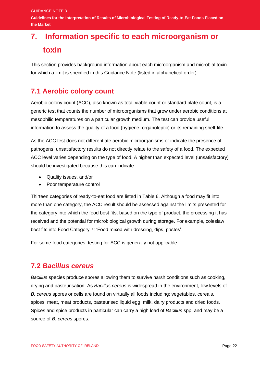**Guidelines for the Interpretation of Results of Microbiological Testing of Ready-to-Eat Foods Placed on the Market** 

# **7. Information specific to each microorganism or toxin**

This section provides background information about each microorganism and microbial toxin for which a limit is specified in this Guidance Note (listed in alphabetical order).

#### **7.1 Aerobic colony count**

Aerobic colony count (ACC), also known as total viable count or standard plate count, is a generic test that counts the number of microorganisms that grow under aerobic conditions at mesophilic temperatures on a particular growth medium. The test can provide useful information to assess the quality of a food (hygiene, organoleptic) or its remaining shelf-life.

As the ACC test does not differentiate aerobic microorganisms or indicate the presence of pathogens, unsatisfactory results do not directly relate to the safety of a food. The expected ACC level varies depending on the type of food. A higher than expected level (unsatisfactory) should be investigated because this can indicate:

- Quality issues, and/or
- Poor temperature control

Thirteen categories of ready-to-eat food are listed in Table 6. Although a food may fit into more than one category, the ACC result should be assessed against the limits presented for the category into which the food best fits, based on the type of product, the processing it has received and the potential for microbiological growth during storage. For example, coleslaw best fits into Food Category 7: 'Food mixed with dressing, dips, pastes'.

For some food categories, testing for ACC is generally not applicable.

#### **7.2** *Bacillus cereus*

*Bacillus* species produce spores allowing them to survive harsh conditions such as cooking, drying and pasteurisation. As *Bacillus cereus* is widespread in the environment, low levels of *B. cereus* spores or cells are found on virtually all foods including: vegetables, cereals, spices, meat, meat products, pasteurised liquid egg, milk, dairy products and dried foods. Spices and spice products in particular can carry a high load of *Bacillus* spp. and may be a source of *B. cereus* spores.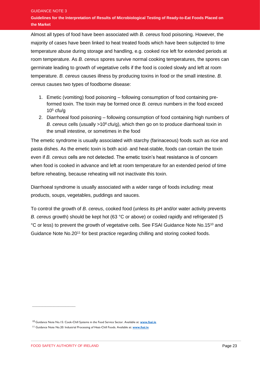Almost all types of food have been associated with *B. cereus* food poisoning. However, the majority of cases have been linked to heat treated foods which have been subjected to time temperature abuse during storage and handling, e.g. cooked rice left for extended periods at room temperature. As *B. cereus* spores survive normal cooking temperatures, the spores can germinate leading to growth of vegetative cells if the food is cooled slowly and left at room temperature. *B. cereus* causes illness by producing toxins in food or the small intestine. *B. cereus* causes two types of foodborne disease:

- 1. Emetic (vomiting) food poisoning following consumption of food containing preformed toxin. The toxin may be formed once *B. cereus* numbers in the food exceed  $10<sup>5</sup>$  cfu/g
- 2. Diarrhoeal food poisoning following consumption of food containing high numbers of *B. cereus* cells (usually >10<sup>6</sup> cfu/g), which then go on to produce diarrhoeal toxin in the small intestine, or sometimes in the food

The emetic syndrome is usually associated with starchy (farinaceous) foods such as rice and pasta dishes. As the emetic toxin is both acid- and heat-stable, foods can contain the toxin even if *B. cereus* cells are not detected. The emetic toxin's heat resistance is of concern when food is cooked in advance and left at room temperature for an extended period of time before reheating, because reheating will not inactivate this toxin.

Diarrhoeal syndrome is usually associated with a wider range of foods including: meat products, soups, vegetables, puddings and sauces.

To control the growth of *B. cereus*, cooked food (unless its pH and/or water activity prevents *B. cereus* growth) should be kept hot (63 °C or above) or cooled rapidly and refrigerated (5 °C or less) to prevent the growth of vegetative cells. See FSAI Guidance Note No.15<sup>10</sup> and Guidance Note No.20<sup>11</sup> for best practice regarding chilling and storing cooked foods.

\_\_\_\_\_\_\_\_\_\_\_\_\_\_\_\_\_\_\_\_\_\_\_\_\_\_\_\_\_\_

<sup>10</sup> Guidance Note No.15: Cook-Chill Systems in the Food Service Sector. Available at: **[www.fsai.ie](http://www.fsai.ie/)**

<sup>11</sup> Guidance Note No.20: Industrial Processing of Heat-Chill Foods. Available at: **[www.fsai.ie](http://www.fsai.ie/)**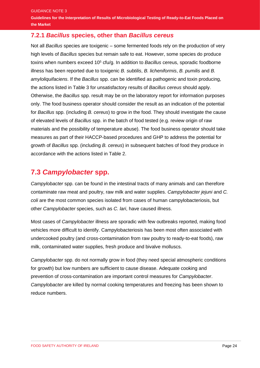**Guidelines for the Interpretation of Results of Microbiological Testing of Ready-to-Eat Foods Placed on the Market** 

#### **7.2.1** *Bacillus* **species, other than** *Bacillus cereus*

Not all *Bacillus* species are toxigenic – some fermented foods rely on the production of very high levels of *Bacillus* species but remain safe to eat. However, some species do produce toxins when numbers exceed 10<sup>5</sup> cfu/g. In addition to *Bacillus* cereus, sporadic foodborne illness has been reported due to toxigenic *B. subtilis*, *B. licheniformis*, *B. pumilis* and *B. amyloliquifaciens*. If the *Bacillus* spp. can be identified as pathogenic and toxin producing, the actions listed in Table 3 for unsatisfactory results of *Bacillus cereus* should apply. Otherwise, the *Bacillus* spp. result may be on the laboratory report for information purposes only. The food business operator should consider the result as an indication of the potential for *Bacillus* spp. (including *B. cereus*) to grow in the food. They should investigate the cause of elevated levels of *Bacillus* spp. in the batch of food tested (e.g. review origin of raw materials and the possibility of temperature abuse). The food business operator should take measures as part of their HACCP-based procedures and GHP to address the potential for growth of *Bacillus* spp. (including *B. cereus*) in subsequent batches of food they produce in accordance with the actions listed in Table 2.

#### **7.3** *Campylobacter* **spp.**

*Campylobacter* spp. can be found in the intestinal tracts of many animals and can therefore contaminate raw meat and poultry, raw milk and water supplies. *Campylobacter jejuni* and *C. coli* are the most common species isolated from cases of human campylobacteriosis, but other *Campylobacter* species, such as *C. lari*, have caused illness.

Most cases of *Campylobacter* illness are sporadic with few outbreaks reported, making food vehicles more difficult to identify. Campylobacteriosis has been most often associated with undercooked poultry (and cross-contamination from raw poultry to ready-to-eat foods), raw milk, contaminated water supplies, fresh produce and bivalve molluscs.

*Campylobacter* spp. do not normally grow in food (they need special atmospheric conditions for growth) but low numbers are sufficient to cause disease. Adequate cooking and prevention of cross-contamination are important control measures for *Campylobacter*. *Campylobacter* are killed by normal cooking temperatures and freezing has been shown to reduce numbers.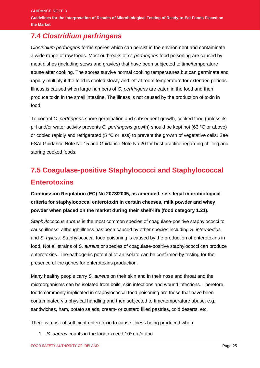### **7.4** *Clostridium perfringens*

*Clostridium perfringens* forms spores which can persist in the environment and contaminate a wide range of raw foods. Most outbreaks of *C. perfringens* food poisoning are caused by meat dishes (including stews and gravies) that have been subjected to time/temperature abuse after cooking. The spores survive normal cooking temperatures but can germinate and rapidly multiply if the food is cooled slowly and left at room temperature for extended periods. Illness is caused when large numbers of *C. perfringens* are eaten in the food and then produce toxin in the small intestine. The illness is not caused by the production of toxin in food.

To control *C. perfringens* spore germination and subsequent growth, cooked food (unless its pH and/or water activity prevents *C. perfringens* growth) should be kept hot (63 °C or above) or cooled rapidly and refrigerated (5 °C or less) to prevent the growth of vegetative cells. See FSAI Guidance Note No.15 and Guidance Note No.20 for best practice regarding chilling and storing cooked foods.

# **7.5 Coagulase-positive Staphylococci and Staphylococcal Enterotoxins**

**Commission Regulation (EC) No 2073/2005, as amended, sets legal microbiological criteria for staphylococcal enterotoxin in certain cheeses, milk powder and whey powder when placed on the market during their shelf-life (food category 1.21).**

*Staphylococcus aureus* is the most common species of coagulase-positive staphylococci to cause illness, although illness has been caused by other species including *S. intermedius* and *S. hyicus*. Staphylococcal food poisoning is caused by the production of enterotoxins in food. Not all strains of *S. aureus* or species of coagulase-positive staphylococci can produce enterotoxins. The pathogenic potential of an isolate can be confirmed by testing for the presence of the genes for enterotoxins production.

Many healthy people carry *S. aureus* on their skin and in their nose and throat and the microorganisms can be isolated from boils, skin infections and wound infections. Therefore, foods commonly implicated in staphylococcal food poisoning are those that have been contaminated via physical handling and then subjected to time/temperature abuse, e.g. sandwiches, ham, potato salads, cream- or custard filled pastries, cold deserts, etc.

There is a risk of sufficient enterotoxin to cause illness being produced when:

1. *S. aureus* counts in the food exceed 10<sup>5</sup> cfu/g and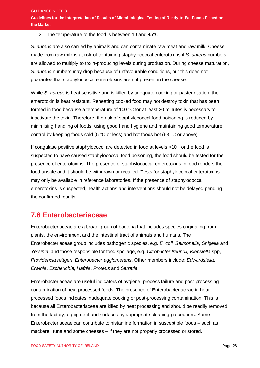#### 2. The temperature of the food is between 10 and 45°C

*S. aureus* are also carried by animals and can contaminate raw meat and raw milk. Cheese made from raw milk is at risk of containing staphylococcal enterotoxins if *S. aureus* numbers are allowed to multiply to toxin-producing levels during production. During cheese maturation, *S. aureus* numbers may drop because of unfavourable conditions, but this does not guarantee that staphylococcal enterotoxins are not present in the cheese.

While *S. aureus* is heat sensitive and is killed by adequate cooking or pasteurisation, the enterotoxin is heat resistant. Reheating cooked food may not destroy toxin that has been formed in food because a temperature of 100 °C for at least 30 minutes is necessary to inactivate the toxin. Therefore, the risk of staphylococcal food poisoning is reduced by minimising handling of foods, using good hand hygiene and maintaining good temperature control by keeping foods cold (5 °C or less) and hot foods hot (63 °C or above).

If coagulase positive staphylococci are detected in food at levels  $>10<sup>5</sup>$ , or the food is suspected to have caused staphylococcal food poisoning, the food should be tested for the presence of enterotoxins. The presence of staphylococcal enterotoxins in food renders the food unsafe and it should be withdrawn or recalled. Tests for staphylococcal enterotoxins may only be available in reference laboratories. If the presence of staphylococcal enterotoxins is suspected, health actions and interventions should not be delayed pending the confirmed results.

### **7.6 Enterobacteriaceae**

Enterobacteriaceae are a broad group of bacteria that includes species originating from plants, the environment and the intestinal tract of animals and humans. The Enterobacteriaceae group includes pathogenic species, e.g. *E. coli*, *Salmonella*, *Shigella* and *Yersinia*, and those responsible for food spoilage, e.g. *Citrobacter freundii, Klebsiella* spp, *Providencia rettgeri*, *Enterobacter agglomerans*. Other members include: *Edwardsiella*, *Erwinia*, *Escherichia*, *Hafnia*, *Proteus* and *Serratia*.

Enterobacteriaceae are useful indicators of hygiene, process failure and post-processing contamination of heat processed foods. The presence of Enterobacteriaceae in heatprocessed foods indicates inadequate cooking or post-processing contamination. This is because all Enterobacteriaceae are killed by heat processing and should be readily removed from the factory, equipment and surfaces by appropriate cleaning procedures. Some Enterobacteriaceae can contribute to histamine formation in susceptible foods – such as mackerel, tuna and some cheeses – if they are not properly processed or stored.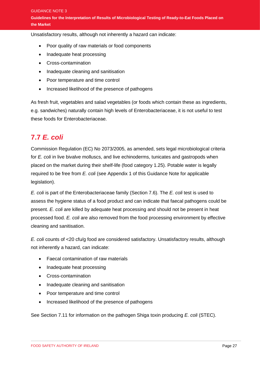Unsatisfactory results, although not inherently a hazard can indicate:

- Poor quality of raw materials or food components
- Inadequate heat processing
- Cross-contamination
- Inadequate cleaning and sanitisation
- Poor temperature and time control
- Increased likelihood of the presence of pathogens

As fresh fruit, vegetables and salad vegetables (or foods which contain these as ingredients, e.g. sandwiches) naturally contain high levels of Enterobacteriaceae, it is not useful to test these foods for Enterobacteriaceae.

#### **7.7** *E. coli*

Commission Regulation (EC) No 2073/2005, as amended, sets legal microbiological criteria for *E. coli* in live bivalve molluscs, and live echinoderms, tunicates and gastropods when placed on the market during their shelf-life (food category 1.25). Potable water is legally required to be free from *E. coli* (see Appendix 1 of this Guidance Note for applicable legislation).

*E. coli* is part of the Enterobacteriaceae family (Section 7.6). The *E. coli* test is used to assess the hygiene status of a food product and can indicate that faecal pathogens could be present. *E. coli* are killed by adequate heat processing and should not be present in heat processed food. *E. coli* are also removed from the food processing environment by effective cleaning and sanitisation.

*E. coli* counts of <20 cfu/g food are considered satisfactory. Unsatisfactory results, although not inherently a hazard, can indicate:

- Faecal contamination of raw materials
- Inadequate heat processing
- Cross-contamination
- Inadequate cleaning and sanitisation
- Poor temperature and time control
- Increased likelihood of the presence of pathogens

See Section 7.11 for information on the pathogen Shiga toxin producing *E. coli* (STEC).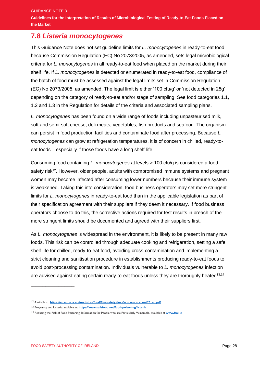#### **7.8** *Listeria monocytogenes*

This Guidance Note does not set guideline limits for *L. monocytogenes* in ready-to-eat food because Commission Regulation (EC) No 2073/2005, as amended, sets legal microbiological criteria for *L. monocytogenes* in all ready-to-eat food when placed on the market during their shelf life. If *L. monocytogenes* is detected or enumerated in ready-to-eat food, compliance of the batch of food must be assessed against the legal limits set in Commission Regulation (EC) No 2073/2005, as amended. The legal limit is either '100 cfu/g' or 'not detected in 25g' depending on the category of ready-to-eat and/or stage of sampling. See food categories 1.1, 1.2 and 1.3 in the Regulation for details of the criteria and associated sampling plans.

*L. monocytogenes* has been found on a wide range of foods including unpasteurised milk, soft and semi-soft cheese, deli meats, vegetables, fish products and seafood. The organism can persist in food production facilities and contaminate food after processing. Because *L. monocytogenes* can grow at refrigeration temperatures, it is of concern in chilled, ready-toeat foods – especially if those foods have a long shelf-life.

Consuming food containing *L. monocytogenes* at levels > 100 cfu/g is considered a food safety risk<sup>12</sup>. However, older people, adults with compromised immune systems and pregnant women may become infected after consuming lower numbers because their immune system is weakened. Taking this into consideration, food business operators may set more stringent limits for *L. monocytogenes* in ready-to-eat food than in the applicable legislation as part of their specification agreement with their suppliers if they deem it necessary. If food business operators choose to do this, the corrective actions required for test results in breach of the more stringent limits should be documented and agreed with their suppliers first.

As *L. monocytogenes* is widespread in the environment, it is likely to be present in many raw foods. This risk can be controlled through adequate cooking and refrigeration, setting a safe shelf-life for chilled, ready-to-eat food, avoiding cross-contamination and implementing a strict cleaning and sanitisation procedure in establishments producing ready-to-eat foods to avoid post-processing contamination. Individuals vulnerable to *L. monocytogenes* infection are advised against eating certain ready-to-eat foods unless they are thoroughly heated<sup>13,14</sup>.

 $\frac{1}{2}$  ,  $\frac{1}{2}$  ,  $\frac{1}{2}$  ,  $\frac{1}{2}$  ,  $\frac{1}{2}$  ,  $\frac{1}{2}$  ,  $\frac{1}{2}$  ,  $\frac{1}{2}$  ,  $\frac{1}{2}$  ,  $\frac{1}{2}$  ,  $\frac{1}{2}$  ,  $\frac{1}{2}$  ,  $\frac{1}{2}$  ,  $\frac{1}{2}$  ,  $\frac{1}{2}$  ,  $\frac{1}{2}$  ,  $\frac{1}{2}$  ,  $\frac{1}{2}$  ,  $\frac{1$ 

<sup>&</sup>lt;sup>12</sup> Available at: **[https://ec.europa.eu/food/sites/food/files/safety/docs/sci-com\\_scv\\_out26\\_en.pdf](https://ec.europa.eu/food/sites/food/files/safety/docs/sci-com_scv_out26_en.pdf)** 

<sup>13</sup> Pregnancy and Listeria: available at: **<https://www.safefood.net/food-poisoning/listeria>**

<sup>14</sup> Reducing the Risk of Food Poisoning: Information for People who are Particularly Vulnerable. Available at **[www.fsai.ie](http://www.fsai.ie/)**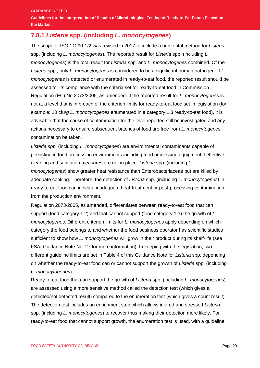**Guidelines for the Interpretation of Results of Microbiological Testing of Ready-to-Eat Foods Placed on the Market** 

### **7.8.1** *Listeria* **spp. (including** *L. monocytogenes***)**

The scope of ISO 11290-1/2 was revised in 2017 to include a horizontal method for *Listeria*  spp. (including *L. monocytogenes*). The reported result for *Listeria* spp. (including *L. monocytogenes*) is the total result for *Listeria* spp. and *L. monocytogenes* combined. Of the *Listeria* spp.*,* only *L. monocytogenes* is considered to be a significant human pathogen. If *L. monocytogenes* is detected or enumerated in ready-to-eat food, the reported result should be assessed for its compliance with the criteria set for ready-to-eat food in Commission Regulation (EC) No 2073/2005, as amended. If the reported result for *L. monocytogenes* is not at a level that is in breach of the criterion limits for ready-to-eat food set in legislation (for example: 10 cfu/*g L. monocytogenes* enumerated in a category 1.3 ready-to-eat food), it is advisable that the cause of contamination for the level reported still be investigated and any actions necessary to ensure subsequent batches of food are free from *L. monocytogenes* contamination be taken.

*Listeria spp*. (including *L. monocytogenes*) are environmental contaminants capable of persisting in food processing environments including food processing equipment if effective cleaning and sanitation measures are not in place. *Listeria* spp. (including *L.* 

*monocytogenes*) show greater heat resistance than Enterobacteriaceae but are killed by adequate cooking. Therefore, the detection of *Listeria* spp. (including *L. monocytogenes*) in ready-to-eat food can indicate inadequate heat-treatment or post-processing contamination from the production environment.

Regulation 2073/2005, as amended, differentiates between ready-to-eat food that can support (food category 1.2) and that cannot support (food category 1.3) the growth of *L. monocytogenes*. Different criterion limits for *L. monocytogenes* apply depending on which category the food belongs to and whether the food business operator has scientific studies sufficient to show how *L. monocytogenes* will grow in their product during its shelf-life (see FSAI Guidance Note No. 27 for more information). In keeping with the legislation, two different guideline limits are set in Table 4 of this Guidance Note for *Listeria* spp*.* depending on whether the ready-to-eat food can or cannot support the growth of *Listeria* spp. (including *L. monocytogenes*).

Ready-to-eat food that can support the growth of *Listeria* spp. (including *L. monocytogenes*) are assessed using a more sensitive method called the detection test (which gives a detected/not detected result) compared to the enumeration test (which gives a count result). The detection test includes an enrichment step which allows injured and stressed *Listeria*  spp. (including *L. monocytogenes*) to recover thus making their detection more likely. For ready-to-eat food that cannot support growth, the enumeration test is used, with a guideline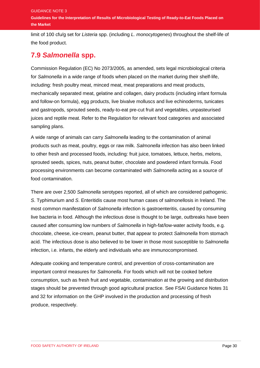GUIDANCE NOTE 3

**Guidelines for the Interpretation of Results of Microbiological Testing of Ready-to-Eat Foods Placed on the Market** 

limit of 100 cfu/g set for *Listeria* spp. (including *L. monocytogenes*) throughout the shelf-life of the food product.

#### **7.9** *Salmonella* **spp.**

Commission Regulation (EC) No 2073/2005, as amended, sets legal microbiological criteria for *Salmonella* in a wide range of foods when placed on the market during their shelf-life, including: fresh poultry meat, minced meat, meat preparations and meat products, mechanically separated meat, gelatine and collagen, dairy products (including infant formula and follow-on formula), egg products, live bivalve molluscs and live echinoderms, tunicates and gastropods, sprouted seeds, ready-to-eat pre-cut fruit and vegetables, unpasteurised juices and reptile meat. Refer to the Regulation for relevant food categories and associated sampling plans.

A wide range of animals can carry *Salmonella* leading to the contamination of animal products such as meat, poultry, eggs or raw milk. *Salmonella* infection has also been linked to other fresh and processed foods, including: fruit juice, tomatoes, lettuce, herbs, melons, sprouted seeds, spices, nuts, peanut butter, chocolate and powdered infant formula. Food processing environments can become contaminated with *Salmonella* acting as a source of food contamination.

There are over 2,500 *Salmonella* serotypes reported, all of which are considered pathogenic. *S*. Typhimurium and *S*. Enteritidis cause most human cases of salmonellosis in Ireland. The most common manifestation of *Salmonella* infection is gastroenteritis, caused by consuming live bacteria in food. Although the infectious dose is thought to be large, outbreaks have been caused after consuming low numbers of *Salmonella* in high-fat/low-water activity foods, e.g. chocolate, cheese, ice-cream, peanut butter, that appear to protect *Salmonella* from stomach acid. The infectious dose is also believed to be lower in those most susceptible to *Salmonella* infection, i.e. infants, the elderly and individuals who are immunocompromised.

Adequate cooking and temperature control, and prevention of cross-contamination are important control measures for *Salmonella*. For foods which will not be cooked before consumption, such as fresh fruit and vegetable, contamination at the growing and distribution stages should be prevented through good agricultural practice. See FSAI Guidance Notes 31 and 32 for information on the GHP involved in the production and processing of fresh produce, respectively.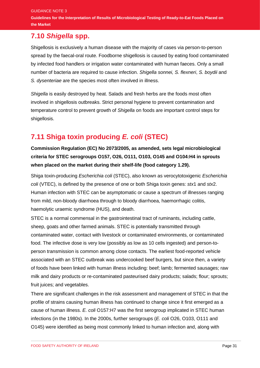**Guidelines for the Interpretation of Results of Microbiological Testing of Ready-to-Eat Foods Placed on the Market** 

#### **7.10** *Shigella* **spp.**

Shigellosis is exclusively a human disease with the majority of cases via person-to-person spread by the faecal-oral route. Foodborne shigellosis is caused by eating food contaminated by infected food handlers or irrigation water contaminated with human faeces. Only a small number of bacteria are required to cause infection. *Shigella sonnei, S. flexneri*, *S. boydii* and *S. dysenteriae* are the species most often involved in illness.

*Shigella* is easily destroyed by heat. Salads and fresh herbs are the foods most often involved in shigellosis outbreaks. Strict personal hygiene to prevent contamination and temperature control to prevent growth of *Shigella* on foods are important control steps for shigellosis.

### **7.11 Shiga toxin producing** *E. coli* **(STEC)**

**Commission Regulation (EC) No 2073/2005, as amended, sets legal microbiological criteria for STEC serogroups O157, O26, O111, O103, O145 and O104:H4 in sprouts when placed on the market during their shelf-life (food category 1.29).**

Shiga toxin-producing *Escherichia coli* (STEC), also known as verocytotoxigenic *Escherichia coli* (VTEC), is defined by the presence of one or both Shiga toxin genes: *stx*1 and *stx*2. Human infection with STEC can be asymptomatic or cause a spectrum of illnesses ranging from mild, non-bloody diarrhoea through to bloody diarrhoea, haemorrhagic colitis, haemolytic uraemic syndrome (HUS), and death.

STEC is a normal commensal in the gastrointestinal tract of ruminants, including cattle, sheep, goats and other farmed animals. STEC is potentially transmitted through contaminated water, contact with livestock or contaminated environments, or contaminated food. The infective dose is very low (possibly as low as 10 cells ingested) and person-toperson transmission is common among close contacts. The earliest food-reported vehicle associated with an STEC outbreak was undercooked beef burgers, but since then, a variety of foods have been linked with human illness including: beef; lamb; fermented sausages; raw milk and dairy products or re-contaminated pasteurised dairy products; salads; flour; sprouts; fruit juices; and vegetables.

There are significant challenges in the risk assessment and management of STEC in that the profile of strains causing human illness has continued to change since it first emerged as a cause of human illness. *E. coli* O157:H7 was the first serogroup implicated in STEC human infections (in the 1980s). In the 2000s, further serogroups (*E. coli* O26, O103, O111 and O145) were identified as being most commonly linked to human infection and, along with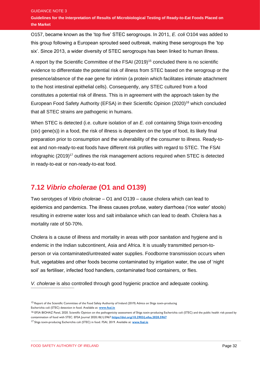O157, became known as the 'top five' STEC serogroups. In 2011, *E. coli* O104 was added to this group following a European sprouted seed outbreak, making these serogroups the 'top six'. Since 2013, a wider diversity of STEC serogroups has been linked to human illness.

A report by the Scientific Committee of the FSAI (2019)<sup>15</sup> concluded there is no scientific evidence to differentiate the potential risk of illness from STEC based on the serogroup or the presence/absence of the *eae* gene for intimin (a protein which facilitates intimate attachment to the host intestinal epithelial cells). Consequently, any STEC cultured from a food constitutes a potential risk of illness. This is in agreement with the approach taken by the European Food Safety Authority (EFSA) in their Scientific Opinion (2020)<sup>16</sup> which concluded that all STEC strains are pathogenic in humans.

When STEC is detected (i.e. culture isolation of an *E. coli* containing Shiga toxin-encoding (*stx*) gene(s)) in a food, the risk of illness is dependent on the type of food, its likely final preparation prior to consumption and the vulnerability of the consumer to illness. Ready-toeat and non-ready-to-eat foods have different risk profiles with regard to STEC. The FSAI infographic  $(2019)^{17}$  outlines the risk management actions required when STEC is detected in ready-to-eat or non-ready-to-eat food.

### **7.12** *Vibrio cholerae* **(O1 and O139)**

Two serotypes of *Vibrio cholerae* – O1 and O139 – cause cholera which can lead to epidemics and pandemics. The illness causes profuse, watery diarrhoea ('rice water' stools) resulting in extreme water loss and salt imbalance which can lead to death. Cholera has a mortality rate of 50-70%.

Cholera is a cause of illness and mortality in areas with poor sanitation and hygiene and is endemic in the Indian subcontinent, Asia and Africa. It is usually transmitted person-toperson or via contaminated/untreated water supplies. Foodborne transmission occurs when fruit, vegetables and other foods become contaminated by irrigation water, the use of 'night soil' as fertiliser, infected food handlers, contaminated food containers, or flies.

*V. cholerae* is also controlled through good hygienic practice and adequate cooking.

<sup>&</sup>lt;sup>15</sup> Report of the Scientific Committee of the Food Safety Authority of Ireland (2019) Advice on Shiga toxin-producing Escherichia coli (STEC) detection in food. Available at: **[www.fsai.ie](http://www.fsai.ie/)**

<sup>&</sup>lt;sup>16</sup> EFSA BIOHAZ Panel, 2020. Scientific Opinion on the pathogenicity assessment of Shiga toxin-producing Escherichia coli (STEC) and the public health risk posed by contamination of food with STEC. EFSA Journal 2020;18(1):5967 **<https://doi.org/10.2903/j.efsa.2020.5967>**

<sup>17</sup> Shiga toxin-producing Escherichia coli (STEC) in food. FSAI, 2019. Available at: **[www.fsai.ie](http://www.fsai.ie/)**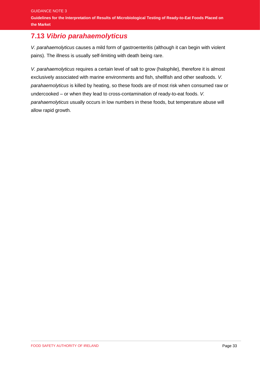### **7.13** *Vibrio parahaemolyticus*

*V. parahaemolyticus* causes a mild form of gastroenteritis (although it can begin with violent pains). The illness is usually self-limiting with death being rare.

*V. parahaemolyticus* requires a certain level of salt to grow (halophile), therefore it is almost exclusively associated with marine environments and fish, shellfish and other seafoods. *V. parahaemolyticus* is killed by heating, so these foods are of most risk when consumed raw or undercooked – or when they lead to cross-contamination of ready-to-eat foods. *V. parahaemolyticus* usually occurs in low numbers in these foods, but temperature abuse will allow rapid growth.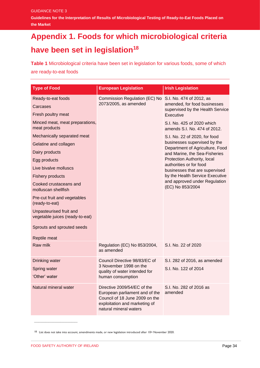**Guidelines for the Interpretation of Results of Microbiological Testing of Ready-to-Eat Foods Placed on the Market** 

# <span id="page-36-0"></span>**Appendix 1. Foods for which microbiological criteria have been set in legislation<sup>18</sup>**

**Table 1** Microbiological criteria have been set in legislation for various foods, some of which are ready-to-eat foods

| <b>Type of Food</b>                                        | <b>European Legislation</b>                                                                                                                                | <b>Irish Legislation</b>                                         |
|------------------------------------------------------------|------------------------------------------------------------------------------------------------------------------------------------------------------------|------------------------------------------------------------------|
| Ready-to-eat foods                                         | Commission Regulation (EC) No                                                                                                                              | S.I. No. 474 of 2012, as                                         |
| Carcases                                                   | 2073/2005, as amended                                                                                                                                      | amended, for food businesses<br>supervised by the Health Service |
| Fresh poultry meat                                         |                                                                                                                                                            | Executive                                                        |
| Minced meat, meat preparations,<br>meat products           |                                                                                                                                                            | S.I. No. 425 of 2020 which<br>amends S.I. No. 474 of 2012.       |
| Mechanically separated meat                                |                                                                                                                                                            | S.I. No. 22 of 2020, for food                                    |
| Gelatine and collagen                                      |                                                                                                                                                            | businesses supervised by the<br>Department of Agriculture, Food  |
| Dairy products                                             |                                                                                                                                                            | and Marine, the Sea-Fisheries                                    |
| Egg products                                               |                                                                                                                                                            | Protection Authority, local                                      |
| Live bivalve molluscs                                      |                                                                                                                                                            | authorities or for food<br>businesses that are supervised        |
| <b>Fishery products</b>                                    |                                                                                                                                                            | by the Health Service Executive                                  |
| Cooked crustaceans and<br>molluscan shellfish              |                                                                                                                                                            | and approved under Regulation<br>(EC) No 853/2004                |
| Pre-cut fruit and vegetables<br>(ready-to-eat)             |                                                                                                                                                            |                                                                  |
| Unpasteurised fruit and<br>vegetable juices (ready-to-eat) |                                                                                                                                                            |                                                                  |
| Sprouts and sprouted seeds                                 |                                                                                                                                                            |                                                                  |
| Reptile meat                                               |                                                                                                                                                            |                                                                  |
| Raw milk                                                   | Regulation (EC) No 853/2004,<br>as amended                                                                                                                 | S.I. No. 22 of 2020                                              |
| Drinking water                                             | Council Directive 98/83/EC of                                                                                                                              | S.I. 282 of 2016, as amended                                     |
| Spring water                                               | 3 November 1998 on the<br>quality of water intended for                                                                                                    | S.I. No. 122 of 2014                                             |
| 'Other' water                                              | human consumption                                                                                                                                          |                                                                  |
| Natural mineral water                                      | Directive 2009/54/EC of the<br>European parliament and of the<br>Council of 18 June 2009 on the<br>exploitation and marketing of<br>natural mineral waters | S.I. No. 282 of 2016 as<br>amended                               |

<sup>&</sup>lt;sup>18</sup> List does not take into account, amendments made, or new legislation introduced after 10<sup>th</sup> November 2020.

 $\frac{1}{2}$  ,  $\frac{1}{2}$  ,  $\frac{1}{2}$  ,  $\frac{1}{2}$  ,  $\frac{1}{2}$  ,  $\frac{1}{2}$  ,  $\frac{1}{2}$  ,  $\frac{1}{2}$  ,  $\frac{1}{2}$  ,  $\frac{1}{2}$  ,  $\frac{1}{2}$  ,  $\frac{1}{2}$  ,  $\frac{1}{2}$  ,  $\frac{1}{2}$  ,  $\frac{1}{2}$  ,  $\frac{1}{2}$  ,  $\frac{1}{2}$  ,  $\frac{1}{2}$  ,  $\frac{1$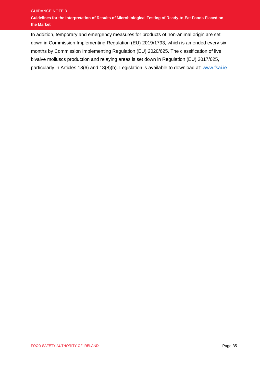#### GUIDANCE NOTE 3 **Guidelines for the Interpretation of Results of Microbiological Testing of Ready-to-Eat Foods Placed on the Market**

In addition, temporary and emergency measures for products of non-animal origin are set down in Commission Implementing Regulation (EU) 2019/1793, which is amended every six months by Commission Implementing Regulation (EU) 2020/625. The classification of live bivalve molluscs production and relaying areas is set down in Regulation (EU) 2017/625, particularly in Articles 18(6) and 18(8)(b). Legislation is available to download at: [www.fsai.ie](http://www.fsai.ie/)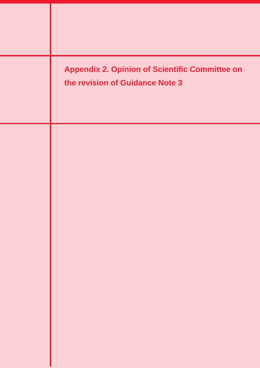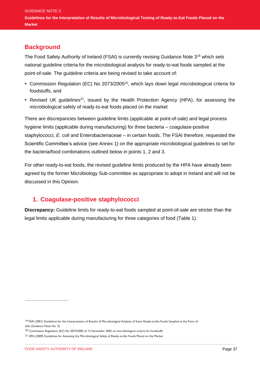#### **Background**

The Food Safety Authority of Ireland (FSAI) is currently revising Guidance Note 3<sup>19</sup> which sets national guideline criteria for the microbiological analysis for ready-to-eat foods sampled at the point-of-sale. The guideline criteria are being revised to take account of:

- **•** Commission Regulation (EC) No 2073/2005<sup>20</sup>, which lays down legal microbiological criteria for foodstuffs, and
- Revised UK guidelines<sup>21</sup>, issued by the Health Protection Agency (HPA), for assessing the microbiological safety of ready-to-eat foods placed on the market

There are discrepancies between guideline limits (applicable at point-of-sale) and legal process hygiene limits (applicable during manufacturing) for three bacteria – coagulase-positive staphylococci, *E. coli* and Enterobacteriaceae – in certain foods. The FSAI therefore, requested the Scientific Committee's advice (see Annex 1) on the appropriate microbiological guidelines to set for the bacteria/food combinations outlined below in points 1, 2 and 3.

For other ready-to-eat foods, the revised guideline limits produced by the HPA have already been agreed by the former Microbiology Sub-committee as appropriate to adopt in Ireland and will not be discussed in this Opinion.

#### **1. Coagulase-positive staphylococci**

**Discrepancy:** Guideline limits for ready-to-eat foods sampled at point-of-sale are stricter than the legal limits applicable during manufacturing for three categories of food (Table 1).

 $\frac{1}{2}$  ,  $\frac{1}{2}$  ,  $\frac{1}{2}$  ,  $\frac{1}{2}$  ,  $\frac{1}{2}$  ,  $\frac{1}{2}$  ,  $\frac{1}{2}$  ,  $\frac{1}{2}$  ,  $\frac{1}{2}$  ,  $\frac{1}{2}$  ,  $\frac{1}{2}$  ,  $\frac{1}{2}$  ,  $\frac{1}{2}$  ,  $\frac{1}{2}$  ,  $\frac{1}{2}$  ,  $\frac{1}{2}$  ,  $\frac{1}{2}$  ,  $\frac{1}{2}$  ,  $\frac{1$ 

<sup>&</sup>lt;sup>19</sup> FSAI (2001) Guidelines for the Interpretation of Results of Microbiological Analysis of Some Ready-to-Eat Foods Sampled at the Point of-Sale (Guidance Note No. 3)

<sup>&</sup>lt;sup>20</sup> Commission Regulation (EC) No 2073/2005 of 15 November 2005 on microbiological criteria for foodstuffs

<sup>21</sup> HPA (2009) Guidelines for Assessing the Microbiological Safety of Ready-to-Eat Foods Placed on the Market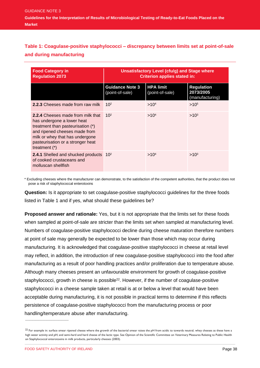#### **Table 1: Coagulase-positive staphylococci – discrepancy between limits set at point-of-sale and during manufacturing**

| <b>Food Category in</b><br><b>Regulation 2073</b>                                                                                                                                                                                       | Unsatisfactory Level (cfu/g) and Stage where<br><b>Criterion applies stated in:</b> |                                     |                                                   |
|-----------------------------------------------------------------------------------------------------------------------------------------------------------------------------------------------------------------------------------------|-------------------------------------------------------------------------------------|-------------------------------------|---------------------------------------------------|
|                                                                                                                                                                                                                                         | <b>Guidance Note 3</b><br>(point-of-sale)                                           | <b>HPA limit</b><br>(point-of-sale) | <b>Regulation</b><br>2073/2005<br>(manufacturing) |
| <b>2.2.3</b> Cheeses made from raw milk                                                                                                                                                                                                 | 10 <sup>2</sup>                                                                     | >10 <sup>4</sup>                    | $>10^{5}$                                         |
| <b>2.2.4 Cheeses made from milk that</b><br>has undergone a lower heat<br>treatment than pasteurisation (*)<br>and ripened cheeses made from<br>milk or whey that has undergone<br>pasteurisation or a stronger heat<br>treatment $(*)$ | 10 <sup>2</sup>                                                                     | >10 <sup>4</sup>                    | $>10^{3}$                                         |
| <b>2.4.1</b> Shelled and shucked products 10 <sup>2</sup><br>of cooked crustaceans and<br>molluscan shellfish                                                                                                                           |                                                                                     | >10 <sup>4</sup>                    | $>10^{3}$                                         |

\* Excluding cheeses where the manufacturer can demonstrate, to the satisfaction of the competent authorities, that the product does not pose a risk of staphylococcal enterotoxins

**Question:** Is it appropriate to set coagulase-positive staphylococci guidelines for the three foods listed in Table 1 and if yes, what should these guidelines be?

**Proposed answer and rationale:** Yes, but it is not appropriate that the limits set for these foods when sampled at point-of-sale are stricter than the limits set when sampled at manufacturing level. Numbers of coagulase-positive staphylococci decline during cheese maturation therefore numbers at point of sale may generally be expected to be lower than those which may occur during manufacturing. It is acknowledged that coagulase-positive staphylococci in cheese at retail level may reflect, in addition, the introduction of new coagulase-positive staphylococci into the food after manufacturing as a result of poor handling practices and/or proliferation due to temperature abuse. Although many cheeses present an unfavourable environment for growth of coagulase-positive staphylococci, growth in cheese is possible<sup>22</sup>. However, if the number of coagulase-positive staphylococci in a cheese sample taken at retail is at or below a level that would have been acceptable during manufacturing, it is not possible in practical terms to determine if this reflects persistence of coagulase-positive staphylococci from the manufacturing process or poor handling/temperature abuse after manufacturing.

 $\frac{1}{2}$  ,  $\frac{1}{2}$  ,  $\frac{1}{2}$  ,  $\frac{1}{2}$  ,  $\frac{1}{2}$  ,  $\frac{1}{2}$  ,  $\frac{1}{2}$  ,  $\frac{1}{2}$  ,  $\frac{1}{2}$  ,  $\frac{1}{2}$  ,  $\frac{1}{2}$  ,  $\frac{1}{2}$  ,  $\frac{1}{2}$  ,  $\frac{1}{2}$  ,  $\frac{1}{2}$  ,  $\frac{1}{2}$  ,  $\frac{1}{2}$  ,  $\frac{1}{2}$  ,  $\frac{1$ 

 $^{22}$  For example in: surface smear ripened cheese where the growth of the bacterial smear raises the pH from acidic to towards neutral; whey cheeses as these have a high water activity and pH; and semi-hard and hard cheese of the lactic type. See Opinion of the Scientific Committee on Veterinary Measures Relating to Public Health on Staphylococcal enterotoxins in milk products, particularly cheeses (2003).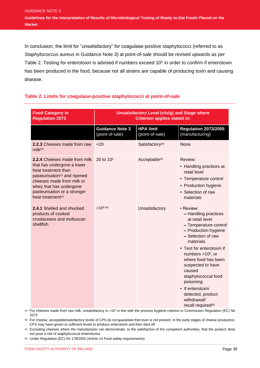In conclusion, the limit for "unsatisfactory" for coagulase-positive staphylococci (referred to as *Staphylococcus aureus* in Guidance Note 3) at point-of-sale should be revised upwards as per Table 2. Testing for enterotoxin is advised if numbers exceed 10<sup>5</sup> in order to confirm if enterotoxin has been produced in the food, because not all strains are capable of producing toxin and causing disease.

#### **Table 2. Limits for coagulase-positive staphylococci at point-of-sale**

| <b>Food Category in</b><br><b>Regulation 2073</b>                                                                                                                                                                                                       | <b>Unsatisfactory Level (cfu/g) and Stage where</b><br><b>Criterion applies stated in:</b> |                                     |                                                                                                                                                                                                                                                                                                                                                                                  |
|---------------------------------------------------------------------------------------------------------------------------------------------------------------------------------------------------------------------------------------------------------|--------------------------------------------------------------------------------------------|-------------------------------------|----------------------------------------------------------------------------------------------------------------------------------------------------------------------------------------------------------------------------------------------------------------------------------------------------------------------------------------------------------------------------------|
|                                                                                                                                                                                                                                                         | <b>Guidance Note 3</b><br>(point-of-sale)                                                  | <b>HPA limit</b><br>(point-of-sale) | <b>Regulation 2073/2005</b><br>(manufacturing)                                                                                                                                                                                                                                                                                                                                   |
| 2.2.3 Cheeses made from raw<br>$m$ ilk(a)                                                                                                                                                                                                               | $20$                                                                                       | Satisfactory <sup>(b)</sup>         | None                                                                                                                                                                                                                                                                                                                                                                             |
| 2.2.4 Cheeses made from milk<br>that has undergone a lower<br>heat treatment than<br>pasteurisation <sup>(c)</sup> and ripened<br>cheeses made from milk or<br>whey that has undergone<br>pasteurisation or a stronger<br>heat treatment <sup>(c)</sup> | 20 to 10 <sup>4</sup>                                                                      | Acceptable <sup>(b)</sup>           | Review:<br>• Handling practices at<br>retail level<br>• Temperature control<br>• Production hygiene<br>• Selection of raw<br>materials                                                                                                                                                                                                                                           |
| 2.4.1 Shelled and shucked<br>products of cooked<br>crustaceans and molluscan<br>shellfish                                                                                                                                                               | $>10^{4}$ (a)                                                                              | Unsatisfactory                      | • Review:<br>- Handling practices<br>at retail level<br>- Temperature control<br>- Production hygiene<br>- Selection of raw<br>materials<br>• Test for enterotoxin if<br>numbers $>105$ , or<br>where food has been<br>suspected to have<br>caused<br>staphylococcal food<br>poisoning<br>• If enterotoxin<br>detected, product<br>withdrawal/<br>recall required <sup>(d)</sup> |

<sup>(a)</sup> For cheeses made from raw milk, unsatisfactory is >10<sup>5</sup> in line with the process hygiene criterion in Commission Regulation (EC) No 2073

**(b)** For cheese, acceptable/satisfactory levels of CPS do not guarantee that toxin is not present. In the early stages of cheese production, CPS may have grown to sufficient levels to produce enterotoxin and then died off

**(c)** Excluding cheeses where the manufacturer can demonstrate, to the satisfaction of the competent authorities, that the product does not pose a risk of staphylococcal enterotoxins

**(d)** Under Regulation (EC) No 178/2002 (Article 14 Food safety requirements)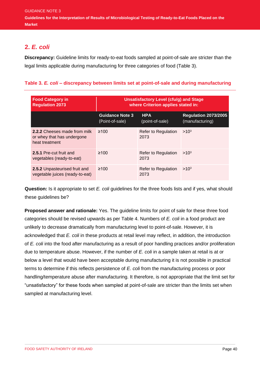#### **2.** *E. coli*

**Discrepancy:** Guideline limits for ready-to-eat foods sampled at point-of-sale are stricter than the legal limits applicable during manufacturing for three categories of food (Table 3).

#### **Table 3.** *E. coli* **– discrepancy between limits set at point-of-sale and during manufacturing**

| <b>Food Category in</b><br><b>Regulation 2073</b>                                   | <b>Unsatisfactory Level (cfu/g) and Stage</b><br>where Criterion applies stated in: |                                    |                                                |
|-------------------------------------------------------------------------------------|-------------------------------------------------------------------------------------|------------------------------------|------------------------------------------------|
|                                                                                     | <b>Guidance Note 3</b><br>(Point-of-sale)                                           | <b>HPA</b><br>(point-of-sale)      | <b>Regulation 2073/2005</b><br>(manufacturing) |
| <b>2.2.2</b> Cheeses made from milk<br>or whey that has undergone<br>heat treatment | $\geq 100$                                                                          | Refer to Regulation<br>2073        | $>10^3$                                        |
| 2.5.1 Pre-cut fruit and<br>vegetables (ready-to-eat)                                | $\geq 100$                                                                          | <b>Refer to Regulation</b><br>2073 | $>10^{3}$                                      |
| 2.5.2 Unpasteurised fruit and<br>vegetable juices (ready-to-eat)                    | $\geq 100$                                                                          | <b>Refer to Regulation</b><br>2073 | $>10^{3}$                                      |

**Question:** Is it appropriate to set *E. coli* guidelines for the three foods lists and if yes, what should these guidelines be?

**Proposed answer and rationale:** Yes. The guideline limits for point of sale for these three food categories should be revised upwards as per Table 4. Numbers of *E. coli* in a food product are unlikely to decrease dramatically from manufacturing level to point-of-sale. However, it is acknowledged that *E. coli* in these products at retail level may reflect, in addition, the introduction of *E. coli* into the food after manufacturing as a result of poor handling practices and/or proliferation due to temperature abuse. However, if the number of *E. coli* in a sample taken at retail is at or below a level that would have been acceptable during manufacturing it is not possible in practical terms to determine if this reflects persistence of *E. coli* from the manufacturing process or poor handling/temperature abuse after manufacturing. It therefore, is not appropriate that the limit set for "unsatisfactory" for these foods when sampled at point-of-sale are stricter than the limits set when sampled at manufacturing level.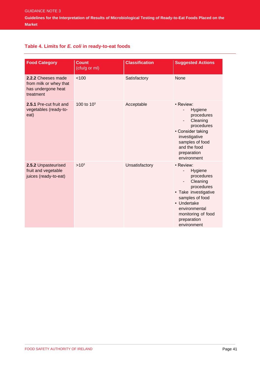#### **Table 4. Limits for** *E. coli* **in ready-to-eat foods**

| <b>Food Category</b>                                                            | <b>Count</b><br>(cfu/g or ml) | <b>Classification</b> | <b>Suggested Actions</b>                                                                                                                                                                        |
|---------------------------------------------------------------------------------|-------------------------------|-----------------------|-------------------------------------------------------------------------------------------------------------------------------------------------------------------------------------------------|
| 2.2.2 Cheeses made<br>from milk or whey that<br>has undergone heat<br>treatment | < 100                         | Satisfactory          | None                                                                                                                                                                                            |
| 2.5.1 Pre-cut fruit and<br>vegetables (ready-to-<br>eat)                        | 100 to 10 <sup>3</sup>        | Acceptable            | • Review:<br>Hygiene<br>$\overline{\phantom{a}}$<br>procedures<br>Cleaning<br>procedures<br>• Consider taking<br>investigative<br>samples of food<br>and the food<br>preparation<br>environment |
| 2.5.2 Unpasteurised<br>fruit and vegetable<br>juices (ready-to-eat)             | $>10^{3}$                     | Unsatisfactory        | · Review:<br>Hygiene<br>procedures<br>Cleaning<br>procedures<br>• Take investigative<br>samples of food<br>• Undertake<br>environmental<br>monitoring of food<br>preparation<br>environment     |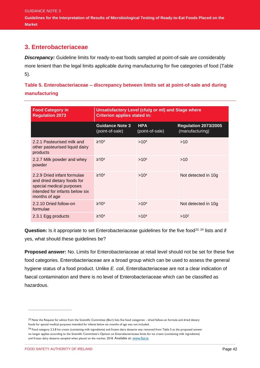GUIDANCE NOTE 3 **Guidelines for the Interpretation of Results of Microbiological Testing of Ready-to-Eat Foods Placed on the Market** 

#### **3. Enterobacteriaceae**

*Discrepancy:* Guideline limits for ready-to-eat foods sampled at point-of-sale are considerably more lenient than the legal limits applicable during manufacturing for five categories of food (Table 5).

**Table 5. Enterobacteriaceae – discrepancy between limits set at point-of-sale and during manufacturing**

| <b>Food Category in</b><br><b>Regulation 2073</b>                                                                                         | Unsatisfactory Level (cfu/g or ml) and Stage where<br><b>Criterion applies stated in:</b> |                               |                                                |  |
|-------------------------------------------------------------------------------------------------------------------------------------------|-------------------------------------------------------------------------------------------|-------------------------------|------------------------------------------------|--|
|                                                                                                                                           | <b>Guidance Note 3</b><br>(point-of-sale)                                                 | <b>HPA</b><br>(point-of-sale) | <b>Regulation 2073/2005</b><br>(manufacturing) |  |
| 2.2.1 Pasteurised milk and<br>other pasteurised liquid dairy<br>products                                                                  | $\geq 104$                                                                                | >10 <sup>4</sup>              | >10                                            |  |
| 2.2.7 Milk powder and whey<br>powder                                                                                                      | ≥10 <sup>4</sup>                                                                          | >10 <sup>4</sup>              | >10                                            |  |
| 2.2.9 Dried infant formulae<br>and dried dietary foods for<br>special medical purposes<br>intended for infants below six<br>months of age | $\geq 10^{4}$                                                                             | >10 <sup>4</sup>              | Not detected in 10g                            |  |
| 2.2.10 Dried follow-on<br>formulae                                                                                                        | $\geq 104$                                                                                | >10 <sup>4</sup>              | Not detected in 10g                            |  |
| 2.3.1 Egg products                                                                                                                        | ≥10 <sup>4</sup>                                                                          | >10 <sup>4</sup>              | $>10^2$                                        |  |

Question: Is it appropriate to set Enterobacteriaceae guidelines for the five food<sup>23, 24</sup> lists and if yes, what should these guidelines be?

**Proposed answer:** No. Limits for Enterobacteriaceae at retail level should not be set for these five food categories. Enterobacteriaceae are a broad group which can be used to assess the general hygiene status of a food product. Unlike *E. coli*, Enterobacteriaceae are not a clear indication of faecal contamination and there is no level of Enterobacteriaceae which can be classified as hazardous.

\_\_\_\_\_\_\_\_\_\_\_\_\_\_\_\_\_\_\_\_\_\_\_\_\_\_\_\_\_\_

<sup>&</sup>lt;sup>23</sup> Note the Request for advice from the Scientific Committee (Bio1) lists five food categories – dried follow-on formula and dried dietary foods for special medical purposes intended for infants below six months of age was not included.

<sup>24</sup> Food category 2.2.8 Ice cream (containing milk ingredients) and frozen dairy desserts was removed from Table 5 as the proposed answer no longer applies according to the Scientific Committee's Opinion on Enterobacteriaceae limits for ice cream (containing milk ingredients) and frozen dairy desserts sampled when placed on the market, 2018. Available at[: www.fsai.ie](http://www.fsai.ie/)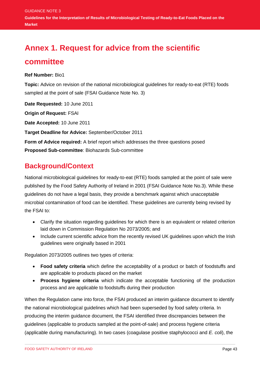# **Annex 1. Request for advice from the scientific**

#### **committee**

**Ref Number:** Bio1

**Topic:** Advice on revision of the national microbiological guidelines for ready-to-eat (RTE) foods sampled at the point of sale (FSAI Guidance Note No. 3)

**Date Requested:** 10 June 2011

**Origin of Request:** FSAI

**Date Accepted:** 10 June 2011

**Target Deadline for Advice:** September/October 2011

**Form of Advice required:** A brief report which addresses the three questions posed **Proposed Sub-committee**: Biohazards Sub-committee

### **Background/Context**

National microbiological guidelines for ready-to-eat (RTE) foods sampled at the point of sale were published by the Food Safety Authority of Ireland in 2001 (FSAI Guidance Note No.3). While these guidelines do not have a legal basis, they provide a benchmark against which unacceptable microbial contamination of food can be identified. These guidelines are currently being revised by the FSAI to:

- Clarify the situation regarding guidelines for which there is an equivalent or related criterion laid down in Commission Regulation No 2073/2005; and
- Include current scientific advice from the recently revised UK guidelines upon which the Irish guidelines were originally based in 2001

Regulation 2073/2005 outlines two types of criteria:

- **Food safety criteria** which define the acceptability of a product or batch of foodstuffs and are applicable to products placed on the market
- **Process hygiene criteria** which indicate the acceptable functioning of the production process and are applicable to foodstuffs during their production

When the Regulation came into force, the FSAI produced an interim guidance document to identify the national microbiological guidelines which had been superseded by food safety criteria. In producing the interim guidance document, the FSAI identified three discrepancies between the guidelines (applicable to products sampled at the point-of-sale) and process hygiene criteria (applicable during manufacturing). In two cases (coagulase positive staphylococci and *E. coli*), the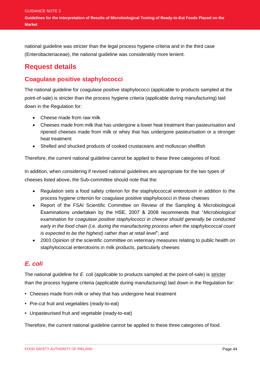national guideline was stricter than the legal process hygiene criteria and in the third case (Enterobacteriaceae), the national guideline was considerably more lenient.

### **Request details**

#### **Coagulase positive staphylococci**

The national guideline for coagulase positive staphylococci (applicable to products sampled at the point-of-sale) is stricter than the process hygiene criteria (applicable during manufacturing) laid down in the Regulation for:

- Cheese made from raw milk
- Cheeses made from milk that has undergone a lower heat treatment than pasteurisation and ripened cheeses made from milk or whey that has undergone pasteurisation or a stronger heat treatment
- Shelled and shucked products of cooked crustaceans and molluscan shellfish

Therefore, the current national guideline cannot be applied to these three categories of food.

In addition, when considering if revised national guidelines are appropriate for the two types of cheeses listed above, the Sub-committee should note that the:

- Regulation sets a food safety criterion for the staphylococcal enterotoxin in addition to the process hygiene criterion for coagulase positive staphylococci in these cheeses
- Report of the FSAI Scientific Committee on Review of the Sampling & Microbiological Examinations undertaken by the HSE, 2007 & 2008 recommends that "*Microbiological examination for coagulase positive staphylococci in cheese should generally be conducted early in the food chain (i.e. during the manufacturing process when the staphylococcal count is expected to be the highest) rather than at retail level*"; and
- 2003 Opinion of the scientific committee on veterinary measures relating to public health on staphylococcal enterotoxins in milk products, particularly cheeses

#### *E. coli*

The national guideline for *E. coli* (applicable to products sampled at the point-of-sale) is stricter than the process hygiene criteria (applicable during manufacturing) laid down in the Regulation for:

- **•** Cheeses made from milk or whey that has undergone heat treatment
- **•** Pre-cut fruit and vegetables (ready-to-eat)
- **•** Unpasteurised fruit and vegetable (ready-to-eat)

Therefore, the current national guideline cannot be applied to these three categories of food.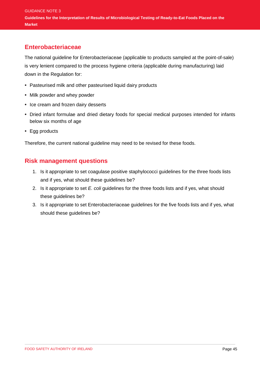#### **Enterobacteriaceae**

The national guideline for Enterobacteriaceae (applicable to products sampled at the point-of-sale) is very lenient compared to the process hygiene criteria (applicable during manufacturing) laid down in the Regulation for:

- **•** Pasteurised milk and other pasteurised liquid dairy products
- **•** Milk powder and whey powder
- **•** Ice cream and frozen dairy desserts
- **•** Dried infant formulae and dried dietary foods for special medical purposes intended for infants below six months of age
- **•** Egg products

Therefore, the current national guideline may need to be revised for these foods.

#### **Risk management questions**

- 1. Is it appropriate to set coagulase positive staphylococci guidelines for the three foods lists and if yes, what should these guidelines be?
- 2. Is it appropriate to set *E. coli* guidelines for the three foods lists and if yes, what should these guidelines be?
- 3. Is it appropriate to set Enterobacteriaceae guidelines for the five foods lists and if yes, what should these guidelines be?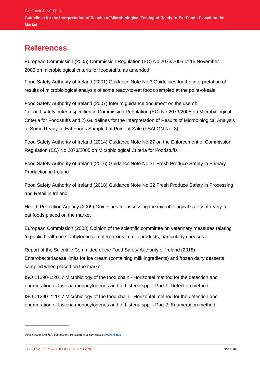# **References**

European Commission (2005) Commission Regulation (EC) No 2073/2005 of 15 November 2005 on microbiological criteria for foodstuffs, as amended

Food Safety Authority of Ireland (2001) Guidance Note No.3 Guidelines for the interpretation of results of microbiological analysis of some ready-to-eat foods sampled at the point-of-sale

Food Safety Authority of Ireland (2007) Interim guidance document on the use of:

1) Food safety criteria specified in Commission Regulation (EC) No 2073/2005 on Microbiological Criteria for Foodstuffs and 2) Guidelines for the Interpretation of Results of Microbiological Analysis of Some Ready-to-Eat Foods Sampled at Point-of-Sale (FSAI GN No. 3)

Food Safety Authority of Ireland (2014) Guidance Note No.27 on the Enforcement of Commission Regulation (EC) No 2073/2005 on Microbiological Criteria for Foodstuffs

Food Safety Authority of Ireland (2016) Guidance Note No.31 Fresh Produce Safety in Primary Production in Ireland

Food Safety Authority of Ireland (2018) Guidance Note No.32 Fresh Produce Safety in Processing and Retail in Ireland

Health Protection Agency (2009) Guidelines for assessing the microbiological safety of ready-toeat foods placed on the market

European Commission (2003) Opinion of the scientific committee on veterinary measures relating to public health on staphylococcal enterotoxins in milk products, particularly cheeses

Report of the Scientific Committee of the Food Safety Authority of Ireland (2018) Enterobacteriaceae limits for ice cream (containing milk ingredients) and frozen dairy desserts sampled when placed on the market

ISO 11290-1:2017 Microbiology of the food chain - Horizontal method for the detection and enumeration of Listeria monocytogenes and of Listeria spp. - Part 1: Detection method

ISO 11290-2:2017 Microbiology of the food chain - Horizontal method for the detection and enumeration of Listeria monocytogenes and of Listeria spp. - Part 2: Enumeration method

\_\_\_\_\_\_\_\_\_\_\_\_\_\_\_\_\_\_\_\_\_\_\_\_\_\_\_\_\_\_

All legislation and FSAI publications are available to download at **[www.fsai.ie](http://www.fsai.ie/)**